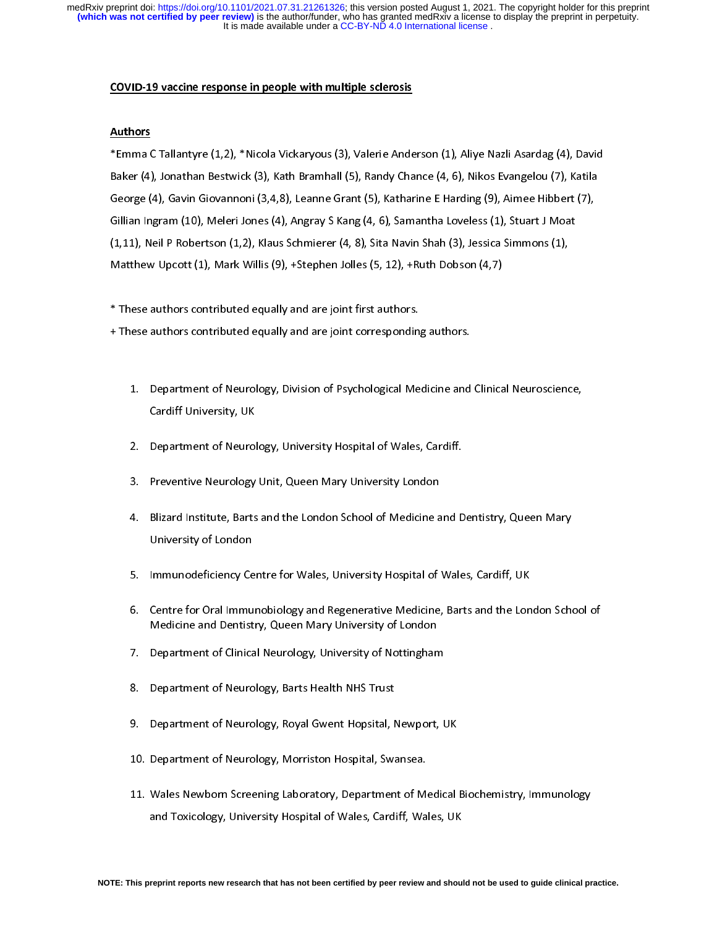It is made available under a CC-BY-ND 4.0 International license. **(which was not certified by peer review)** is the author/funder, who has granted medRxiv a license to display the preprint in perpetuity. medRxiv preprint doi: [https://doi.org/10.1101/2021.07.31.21261326;](https://doi.org/10.1101/2021.07.31.21261326) this version posted August 1, 2021. The copyright holder for this preprint

#### COVID-19 vaccine response in people with multiple sclerosis

### Authors

\*Emma C Tallantyre (1,2), \*Nicola Vickaryous (3), Valerie Anderson (1), Aliye Nazli Asardag (4), David George (4), Gavin Giovannoni (3,4,8), Leanne Grant (5), Katharine E Harding (9), Aimee Hibbert (7), Gillian Ingram (10), Meleri Jones (4), Angray S Kang (4, 6), Samantha Loveless (1), Stuart J Moat  $(1,11)$ , Neil P Robertson  $(1,2)$ , Klaus Schmierer  $(4, 8)$ , Sita Navin Shah  $(3)$ , Jessica Simmons  $(1)$ , Matthew Upcott (1), Mark Willis (9), +Stephen Jolles (5, 12), +Ruth Dobson (4,7)  $M_{\text{max}} = \frac{1}{2}$ ,  $M_{\text{max}} = \frac{1}{2}$ ,  $M_{\text{max}} = \frac{1}{2}$ ,  $M_{\text{max}} = \frac{1}{2}$ 

 $\ddot{\phantom{0}}$ 

\* These authors contributed equally and are joint first authors.  $\mathbf{f} = \mathbf{f} \mathbf{f} + \mathbf{f} \mathbf{f} + \mathbf{f} \mathbf{f} + \mathbf{f} \mathbf{f} + \mathbf{f} \mathbf{f} + \mathbf{f} \mathbf{f} + \mathbf{f} \mathbf{f} + \mathbf{f} \mathbf{f} + \mathbf{f} \mathbf{f} + \mathbf{f} \mathbf{f} + \mathbf{f} \mathbf{f} + \mathbf{f} \mathbf{f} + \mathbf{f} \mathbf{f} + \mathbf{f} \mathbf{f} + \mathbf{f} \mathbf{f} + \mathbf{f} \mathbf{f} + \mathbf{f$ 

- 1. Department of Neuroscience of Neuroscience and Clinical Medicine and Clinical Medicine and Clinical Neuroscience, and Clinical Neuroscience, and Clinical Neuroscience, and Clinical Neuroscience, and Clinical Neuroscienc Cardiff University, UK<br>2. Department of Neurology, University Hospital of Wales, Cardiff.
- 
- 3. Preventive Neurology Unit, Queen Mary University London
- 4. Blizard Institute, Barts and the London School of Medicine and Dentistry, Queen Mary 4. Blizard Institute, Barts and the London School of Medicine and Dentistry, Queen Mary 2014, Outside and Dentis<br>School of Medicine and Dentistry, Queen Mary 2014, Queen Mary 2014, Queen Mary 2014, Queen Mary 2014, Queen M University of London<br>1990<br>1991 - Immunodeficiency Centre for Wales, University Hospital of Wales, Cardiff, UK
- 
- 6. Centre for Oral Immunobiology and Regenerative Medicine, Barts and the London School of Medicine and Dentistry, Queen Mary University of London
- 7. Department of Clinical Neurology, University of Nottingham
- 8. Department of Neurology, Barts Health NHS Trust
- 9. Department of Neurology, Royal Gwent Hopsital, Newport, UK
- 10. Department of Neurology, Morriston Hospital, Swansea.
- 11. Wales Newborn Screening Laboratory, Department of Medical Biochemistry, Immunology and Toxicology, University Hospital of Wales, Cardiff, Wales, UK and To $\mu$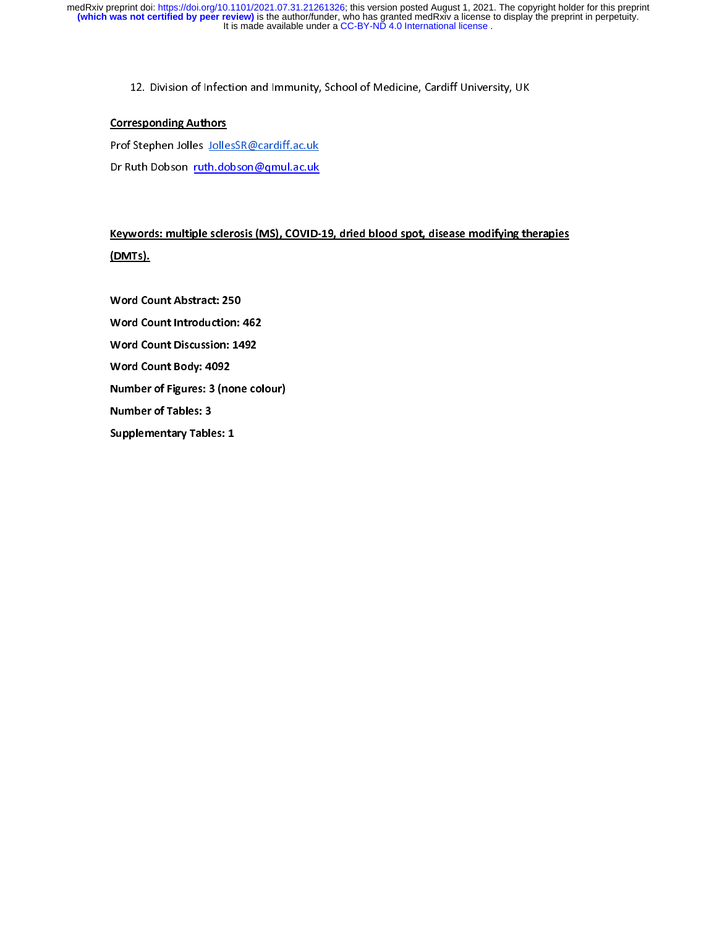$\frac{1}{2}$ . Division of  $\frac{1}{2}$  of  $\frac{1}{2}$  of  $\frac{1}{2}$  of  $\frac{1}{2}$  of  $\frac{1}{2}$  of  $\frac{1}{2}$  of  $\frac{1}{2}$  of  $\frac{1}{2}$  of  $\frac{1}{2}$  of  $\frac{1}{2}$  of  $\frac{1}{2}$  of  $\frac{1}{2}$  of  $\frac{1}{2}$  of  $\frac{1}{2}$  of  $\frac{1}{2}$  of  $\frac$ 

## Corresponding Authors

Prof Stephen Jolles JollesSR@cardiff.ac.uk<br>Dr Ruth Dobson ruth.dobson@qmul.ac.uk dr Ruth Dobson <u>ruth Dobson gammann</u>

Keywords: multiple sclerosis (MS), COVID-19, dried blood spot, disease modifying therapies (DMTs).

Word Count Abstract: 250 Word Count Introduction: 462 Word Count Discussion: 1492 Word Count Body: 4092 Number of Figures: 3 (none colour) Number of Tables: 3 Supplementary Tables: 1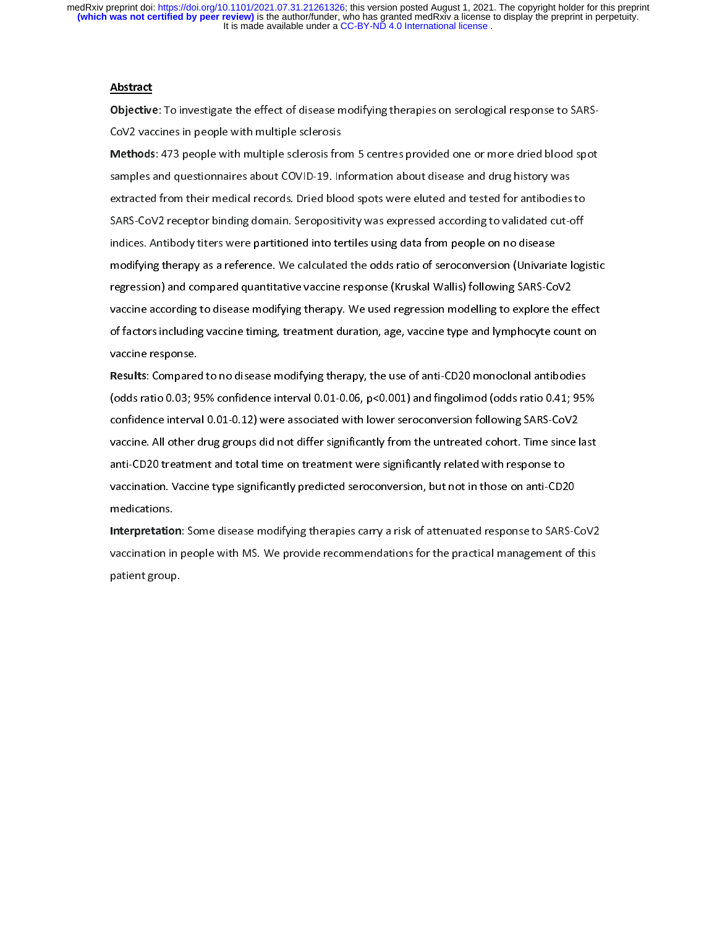#### Abstract

Objective: To investigate the effect of disease modifying therapies on serological response to SARS-<br>CoV2 vaccines in people with multiple sclerosis

Methods: 473 people with multiple sclerosis from 5 centres provided one or more dried blood spot samples and questionnaires about COVID-19. Information about disease and drug history was extracted from their medical records. Dried blood spots were eluted and tested for antibodies to SARS-CoV2 receptor binding domain. Seropositivity was expressed according to validated cut-off indices. Antibody titers were partitioned into tertiles using data from people on no disease modifying therapy as a reference. We calculated the odds ratio of seroconversion (Univariate logistic regression) and compared quantitative vaccine response (Kruskal Wallis) following SARS-CoV2 vaccine according to disease modifying therapy. We used regression modelling to explore the effect of factors including vaccine timing, treatment duration, age, vaccine type and lymphocyte count on  $\alpha$  factors including vaccine response. vaccine response.<br>Results: Compared to no disease modifying therapy, the use of anti-CD20 monoclonal antibodies

(odds ratio 0.03; 95% confidence interval 0.01-0.06,  $p<0.001$ ) and fingolimod (odds ratio 0.41; 95% confidence interval 0.01-0.12) were associated with lower seroconversion following SARS-CoV2 vaccine. All other drug groups did not differ significantly from the untreated cohort. Time since last anti-CD20 treatment and total time on treatment were significantly related with response to vaccination. Vaccine type significantly predicted seroconversion, but not in those on anti-CD20  $v^2$  and  $v^2$  is the signification signification, but not in those on anti-CD200  $v^2$ medications.<br>Interpretation: Some disease modifying therapies carry a risk of attenuated response to SARS-CoV2

vaccination in people with MS. We provide recommendations for the practical management of this vaccination in people with MS. We provide recommendations for the practical management of this<br>patient group. patient group.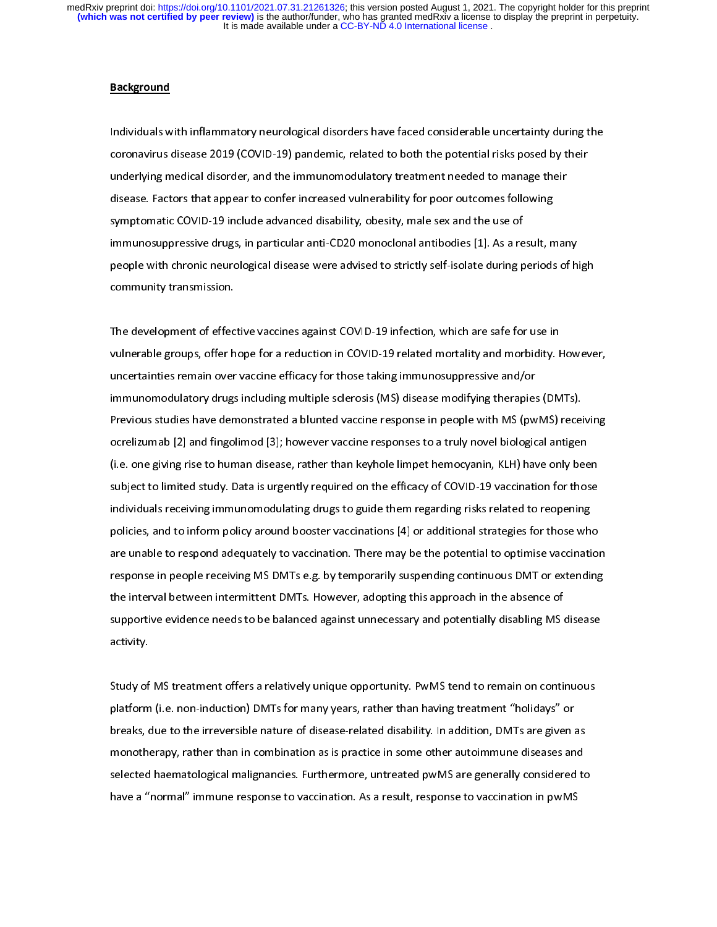#### Background

 $\overline{1}$ Individuals with inflammatory neurological disorders have faced considerable uncertainty during the underlying medical disorder, and the immunomodulatory treatment needed to manage their disease. Factors that appear to confer increased vulnerability for poor outcomes following symptomatic COVID-19 include advanced disability, obesity, male sex and the use of immunosuppressive drugs, in particular anti-CD20 monoclonal antibodies [1]. As a result, many people with chronic neurological disease were advised to strictly self-isolate during periods of high people with chronic neurological disease with the strictly self-isolate during periods of higher periods of higher periods of higher periods of higher periods of higher periods of higher periods of higher periods of higher community transmission.

 $\overline{1}$ The development of effective vaccines against COVID-19 infection, which are safe for use in<br>vulnerable groups, offer hope for a reduction in COVID-19 related mortality and morbidity. However, uncertainties remain over vaccine efficacy for those taking immunosuppressive and/or immunomodulatory drugs including multiple sclerosis (MS) disease modifying therapies (DMTs). Previous studies have demonstrated a blunted vaccine response in people with MS (pwMS) receiving ocrelizumab [2] and fingolimod [3]; however vaccine responses to a truly novel biological antigen (i.e. one giving rise to human disease, rather than keyhole limpet hemocyanin, KLH) have only been subject to limited study. Data is urgently required on the efficacy of COVID-19 vaccination for those individuals receiving immunomodulating drugs to guide them regarding risks related to reopening policies, and to inform policy around booster vaccinations [4] or additional strategies for those who are unable to respond adequately to vaccination. There may be the potential to optimise vaccination response in people receiving MS DMTs e.g. by temporarily suspending continuous DMT or extending the interval between intermittent DMTs. However, adopting this approach in the absence of supportive evidence needs to be balanced against unnecessary and potentially disabling MS disease supportive evidence needs to be balanced against unnecessary and potential methods of the potential methods of  $\frac{1}{2}$  $\frac{1}{2}$ 

 $\ddot{\phantom{0}}$ Study of MS treatment offers a relatively unique opportunity. PwMS tend to remain on continuous<br>platform (i.e. non-induction) DMTs for many years, rather than having treatment "holidays" or breaks, due to the irreversible nature of disease-related disability. In addition, DMTs are given as monotherapy, rather than in combination as is practice in some other autoimmune diseases and selected haematological malignancies. Furthermore, untreated pwMS are generally considered to have a "normal" immune response to vaccination. As a result, response to vaccination in pwMS have a "normal" immune response to vaccination. As a response to vaccination. As a result, response to vaccina<br>As a response to vaccination in pwMSS and the vaccination in pwMSS and the vaccination in pwMSS and the vaccin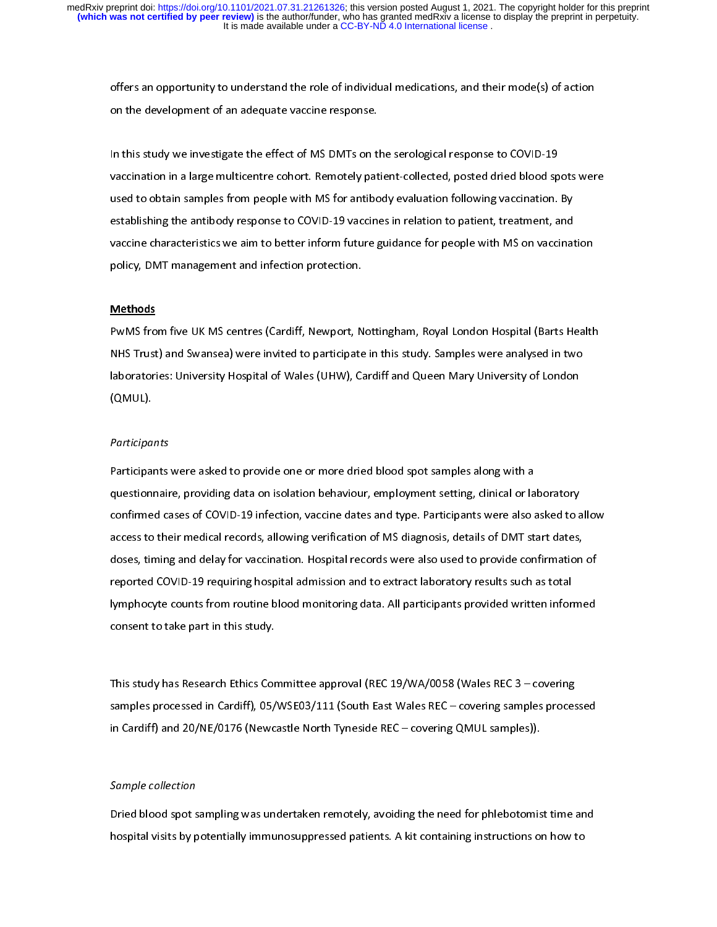offers an opportunity to understand the role of individual medications, and their mode(s) of action<br>on the development of an adequate vaccine response. on the development of an adequate vaccine response.

 $\overline{1}$ In this study we investigate the effect of MS DMTs on the serological response to COVID-19<br>vaccination in a large multicentre cohort. Remotely patient-collected, posted dried blood spots were used to obtain samples from people with MS for antibody evaluation following vaccination. By establishing the antibody response to COVID-19 vaccines in relation to patient, treatment, and vaccine characteristics we aim to better inform future guidance for people with MS on vaccination policy, DMT management and infection protection. policy, DMT management and infection protection.

# $\overline{ }$ **Methods**

PwMS from five UK MS centres (Cardiff, Newport, Nottingham, Royal London Hospital (Barts Health laboratories: University Hospital of Wales (UHW), Cardiff and Queen Mary University of London laboratories: University Hospital of Wales (UHW), Cardiff and Queen Mary University of London  $\overline{\phantom{a}}$ 

# $\overline{1}$ **Participants**

Participants were asked to provide one or more dried blood spot samples along with a<br>questionnaire, providing data on isolation behaviour, employment setting, clinical or laboratory confirmed cases of COVID-19 infection, vaccine dates and type. Participants were also asked to allow access to their medical records, allowing verification of MS diagnosis, details of DMT start dates, doses, timing and delay for vaccination. Hospital records were also used to provide confirmation of reported COVID-19 requiring hospital admission and to extract laboratory results such as total lymphocyte counts from routine blood monitoring data. All participants provided written informed consent to take part in this study. consent to take part in this study.

 $\overline{1}$ This study has Research Ethics Committee approval (REC 19/WA/0058 (Wales REC 3 – covering in Cardiff) and 20/NE/0176 (Newcastle North Tyneside REC – covering QMUL samples)). in Cardiff) and 20/NE/0176 (Newcastle North Tyneside REC – covering QMUL samples)).

# $\overline{\phantom{a}}$ Sample collection

Dried blood spot sampling was undertaken remotely, avoiding the need for phlebotomist time and<br>hospital visits by potentially immunosuppressed patients. A kit containing instructions on how to hospital visits by potentially immunosuppressed patients. A kit containing instructions on how to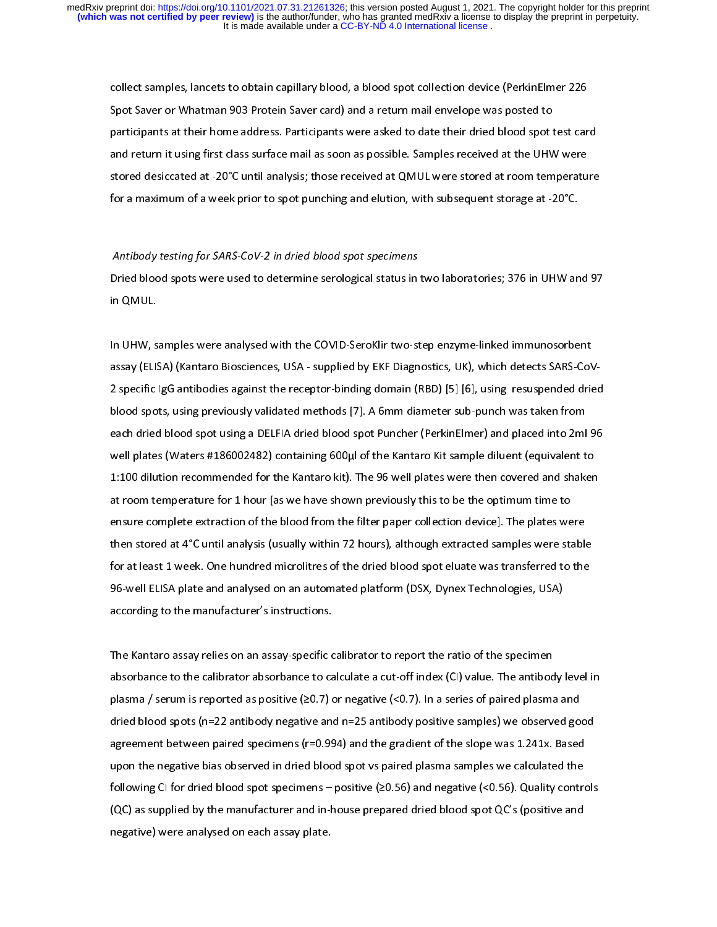collect samples, lancets to obtain capillary blood, a blood spot collection device (PerkinElmer 226<br>Spot Saver or Whatman 903 Protein Saver card) and a return mail envelope was posted to participants at their home address. Participants were asked to date their dried blood spot test card and return it using first class surface mail as soon as possible. Samples received at the UHW were stored desiccated at -20°C until analysis; those received at QMUL were stored at room temperature for a maximum of a week prior to spot punching and elution, with subsequent storage at -20°C. for a maximum of a week prior to spot punching and elution, with subsequent storage at -20°C.

Antibody testing for SARS-CoV-2 in dried blood spot specimens<br>Dried blood spots were used to determine serological status in two laboratories; 376 in UHW and 97 Dried blood spots were used to determine serological status in two laboratories; 376 in UHW and 97 in QMUL.

 $\overline{1}$ In UHW, samples were analysed with the COVID-SeroKlir two-step enzyme-linked immunosorbent<br>assay (ELISA) (Kantaro Biosciences, USA - supplied by EKF Diagnostics, UK), which detects SARS-CoV-2 specific IgG antibodies against the receptor-binding domain (RBD) [5] [6], using resuspended dried blood spots, using previously validated methods [7]. A 6mm diameter sub-punch was taken from each dried blood spot using a DELFIA dried blood spot Puncher (PerkinElmer) and placed into 2ml 96 well plates (Waters #186002482) containing 600µl of the Kantaro Kit sample diluent (equivalent to 1:100 dilution recommended for the Kantaro kit). The 96 well plates were then covered and shaken at room temperature for 1 hour [as we have shown previously this to be the optimum time to ensure complete extraction of the blood from the filter paper collection device]. The plates were then stored at 4°C until analysis (usually within 72 hours), although extracted samples were stable for at least 1 week. One hundred microlitres of the dried blood spot eluate was transferred to the 96-well ELISA plate and analysed on an automated platform (DSX, Dynex Technologies, USA) according to the manufacturer's instructions. according to the manufacturer's instructions.

 $\overline{1}$ The Kantaro assay relies on an assay-specific calibrator to report the ratio of the specimen<br>absorbance to the calibrator absorbance to calculate a cut-off index (CI) value. The antibody level in plasma / serum is reported as positive  $(≥0.7)$  or negative  $(≤0.7)$ . In a series of paired plasma and dried blood spots (n=22 antibody negative and n=25 antibody positive samples) we observed good agreement between paired specimens (r=0.994) and the gradient of the slope was 1.241x. Based upon the negative bias observed in dried blood spot vs paired plasma samples we calculated the following CI for dried blood spot specimens – positive  $(20.56)$  and negative  $(50.56)$ . Quality controls  $f(QC)$  as supplied by the manufacturer and in-house prepared dried blood spot  $QC$ 's (positive and negative) were analysed on each assay plate. negative) were analysed on each assay plate.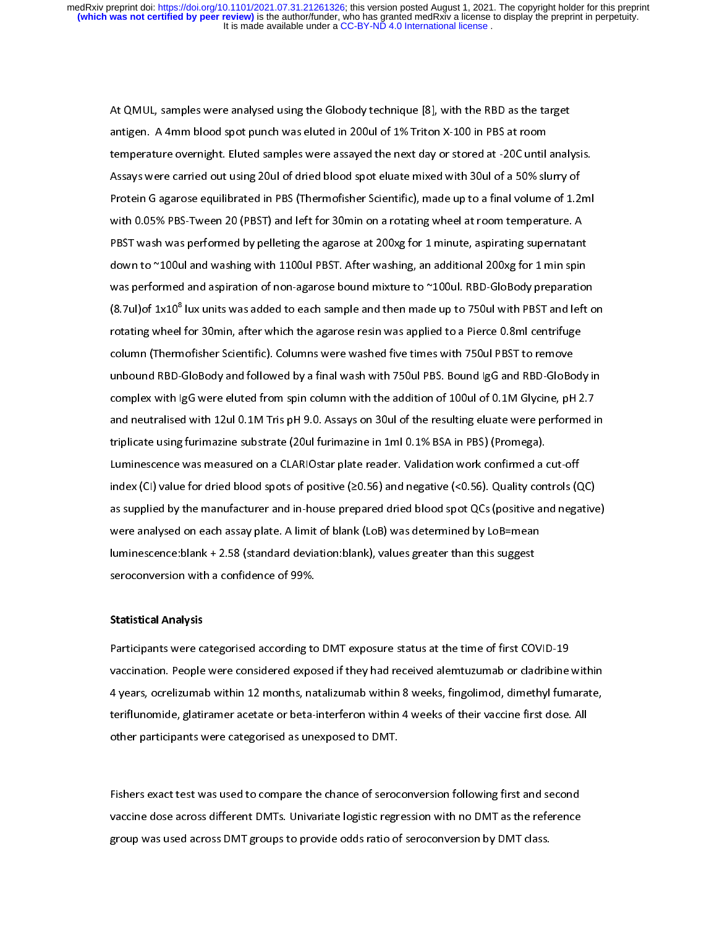$\overline{a}$ At QMUL, samples were analysed using the Globody technique [8], with the RBD as the target<br>antigen. A 4mm blood spot punch was eluted in 200ul of 1% Triton X-100 in PBS at room temperature overnight. Eluted samples were assayed the next day or stored at -20C until analysis. Assays were carried out using 20ul of dried blood spot eluate mixed with 30ul of a 50% slurry of Protein G agarose equilibrated in PBS (Thermofisher Scientific), made up to a final volume of 1.2ml with 0.05% PBS-Tween 20 (PBST) and left for 30min on a rotating wheel at room temperature. A PBST wash was performed by pelleting the agarose at 200xg for 1 minute, aspirating supernatant down to ~100ul and washing with 1100ul PBST. After washing, an additional 200xg for 1 min spin was performed and aspiration of non-agarose bound mixture to ~100ul. RBD-GloBody preparation  $(8.7ul)$ of 1x10<sup>8</sup> lux units was added to each sample and then made up to 750ul with PBST and left on (8.7ul)of IxIO" lux units was added to each sample and then made up to 750ul with PBST and left on<br>rotating wheel for 30min, after which the agarose resin was applied to a Pierce 0.8ml centrifuge column (Thermofisher Scientific). Columns were washed five times with 750ul PBST to remove unbound RBD-GloBody and followed by a final wash with 750ul PBS. Bound IgG and RBD-GloBody in complex with IgG were eluted from spin column with the addition of 100ul of 0.1M Glycine, pH 2.7 and neutralised with 12ul 0.1M Tris pH 9.0. Assays on 30ul of the resulting eluate were performed in triplicate using furimazine substrate (20ul furimazine in 1ml 0.1% BSA in PBS) (Promega). Luminescence was measured on a CLARIOstar plate reader. Validation work confirmed a cut-off index (CI) value for dried blood spots of positive ( $\geq$ 0.56) and negative (<0.56). Quality controls (QC) as supplied by the manufacturer and in-house prepared dried blood spot QCs (positive and negative). were analysed on each assay plate. A limit of blank (LoB) was determined by LoB=mean luminescence: blank + 2.58 (standard deviation: blank), values greater than this suggest seroconversion with a confidence of 99%.

# $\ddot{\cdot}$

Statistical Analysis<br>Participants were categorised according to DMT exposure status at the time of first COVID-19 vaccination. People were considered exposed if they had received alemtuzumab or cladribine within 4 years, ocrelizumab within 12 months, natalizumab within 8 weeks, fingolimod, dimethyl fumarate, teriflunomide, glatiramer acetate or beta-interferon within 4 weeks of their vaccine first dose. All other participants were categorised as unexposed to DMT. other participants were categorised as unexposed to DMT.

l Fishers exact test was used to compare the chance of seroconversion following first and second<br>vaccine dose across different DMTs. Univariate logistic regression with no DMT as the reference group was used across DMT groups to provide odds ratio of seroconversion by DMT class. group was used across DMT groups to provide odds ratio of seroconversion by DMT class.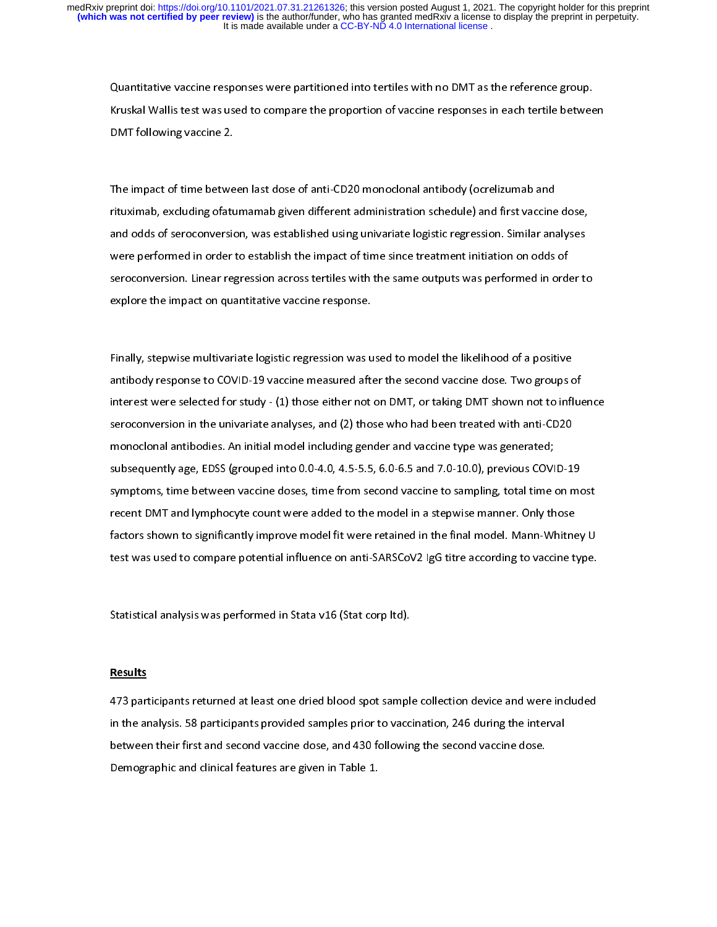Quantitative vaccine responses were partitioned into tertiles with no DMT as the reference group.<br>Kruskal Wallis test was used to compare the proportion of vaccine responses in each tertile between Kruskal Wallis test was used to compare the proportion of vaccine responses in each term of vaccine  $2$ . DMT following vaccine 2.

 $\overline{1}$ The impact of time between last dose of anti-CD20 monoclonal antibody (ocrelizumab and<br>rituximab, excluding ofatumamab given different administration schedule) and first vaccine dose, and odds of seroconversion, was established using univariate logistic regression. Similar analyses were performed in order to establish the impact of time since treatment initiation on odds of seroconversion. Linear regression across tertiles with the same outputs was performed in order to explore the impact on quantitative vaccine response. explore the impact on quantitative vaccine response.

l Finally, stepwise multivariate logistic regression was used to model the likelihood of a positive<br>antibody response to COVID-19 vaccine measured after the second vaccine dose. Two groups of interest were selected for study -  $(1)$  those either not on DMT, or taking DMT shown not to influence seroconversion in the univariate analyses, and (2) those who had been treated with anti-CD20 monoclonal antibodies. An initial model including gender and vaccine type was generated; subsequently age, EDSS (grouped into 0.0-4.0, 4.5-5.5, 6.0-6.5 and 7.0-10.0), previous COVID-19 symptoms, time between vaccine doses, time from second vaccine to sampling, total time on most recent DMT and lymphocyte count were added to the model in a stepwise manner. Only those factors shown to significantly improve model fit were retained in the final model. Mann-Whitney U test was used to compare potential influence on anti-SARSCoV2 IgG titre according to vaccine type. test was used to compare potential influence on anti-SARSCoV2 IgG titre according to vaccine type.

 $\ddot{\phantom{0}}$ Statistical analysis was performed in Stata v16 (Stat corp ltd).

#### **Results**

473 participants returned at least one dried blood spot sample collection device and were included<br>in the analysis. 58 participants provided samples prior to vaccination, 246 during the interval between their first and second vaccine dose, and 430 following the second vaccine dose. Demographic and clinical features are given in Table 1. Demographic and clinical features are given in Table 1.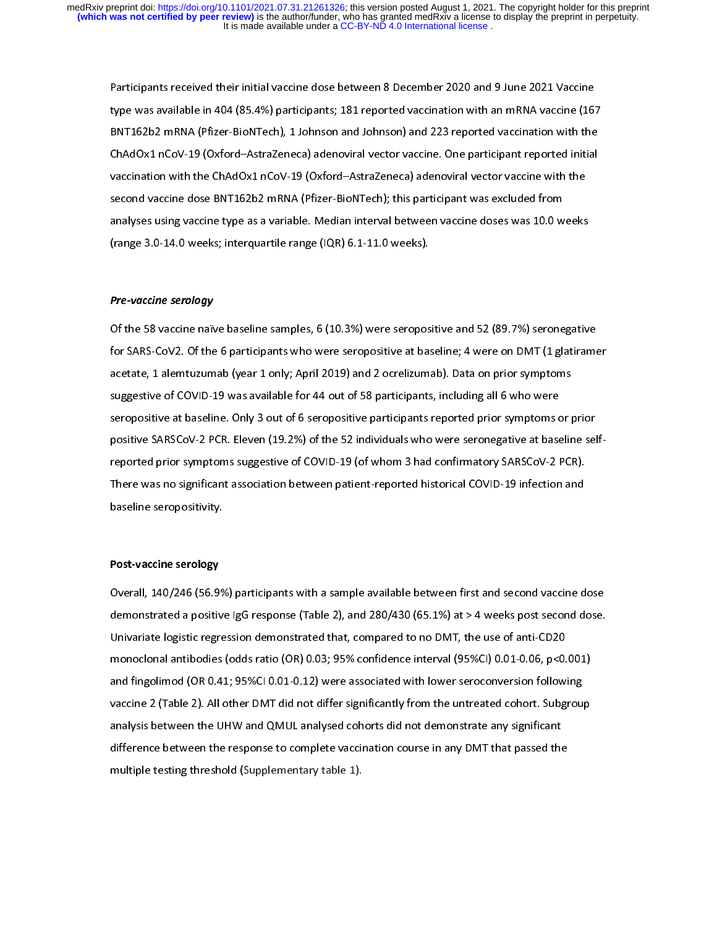Participants received their initial vaccine dose between 8 December 2020 and 9 June 2021 Vaccine BNT162b2 mRNA (Pfizer-BioNTech), 1 Johnson and Johnson) and 223 reported vaccination with the ChAdOx1 nCoV-19 (Oxford-AstraZeneca) adenoviral vector vaccine. One participant reported initial vaccination with the ChAdOx1 nCoV-19 (Oxford–AstraZeneca) adenoviral vector vaccine with the second vaccine dose BNT162b2 mRNA (Pfizer-BioNTech); this participant was excluded from analyses using vaccine type as a variable. Median interval between vaccine doses was 10.0 weeks (range 3.0-14.0 weeks; interquartile range (IQR) 6.1-11.0 weeks). (range 3.0-14.0 weeks; interpretation range ( $\frac{1}{2}$ 

# $\overline{1}$ Pre-vaccine serology

Of the 58 vaccine naïve baseline samples, 6 (10.3%) were seropositive and 52 (89.7%) seronegative<br>for SARS-CoV2. Of the 6 participants who were seropositive at baseline; 4 were on DMT (1 glatiramer acetate, 1 alemtuzumab (year 1 only; April 2019) and 2 ocrelizumab). Data on prior symptoms suggestive of COVID-19 was available for 44 out of 58 participants, including all 6 who were seropositive at baseline. Only 3 out of 6 seropositive participants reported prior symptoms or prior positive SARSCoV-2 PCR. Eleven (19.2%) of the 52 individuals who were seronegative at baseline selfreported prior symptoms suggestive of COVID-19 (of whom 3 had confirmatory SARSCoV-2 PCR). There was no significant association between patient-reported historical COVID-19 infection and There was no significant association between patient-reported historical COVID-19 infection and<br>baseline seropositivity. baseline seropositivity.

# l Post-vaccine serology

Overall, 140/246 (56.9%) participants with a sample available between first and second vaccine dose.<br>demonstrated a positive IgG response (Table 2), and 280/430 (65.1%) at > 4 weeks post second dose. Univariate logistic regression demonstrated that, compared to no DMT, the use of anti-CD20 monoclonal antibodies (odds ratio (OR) 0.03; 95% confidence interval (95%CI) 0.01-0.06, p<0.001) and fingolimod (OR 0.41; 95%CI 0.01-0.12) were associated with lower seroconversion following vaccine 2 (Table 2). All other DMT did not differ significantly from the untreated cohort. Subgroup analysis between the UHW and QMUL analysed cohorts did not demonstrate any significant difference between the response to complete vaccination course in any DMT that passed the multiple testing threshold (Supplementary table 1). multiple testing threshold (Supplementary table 1).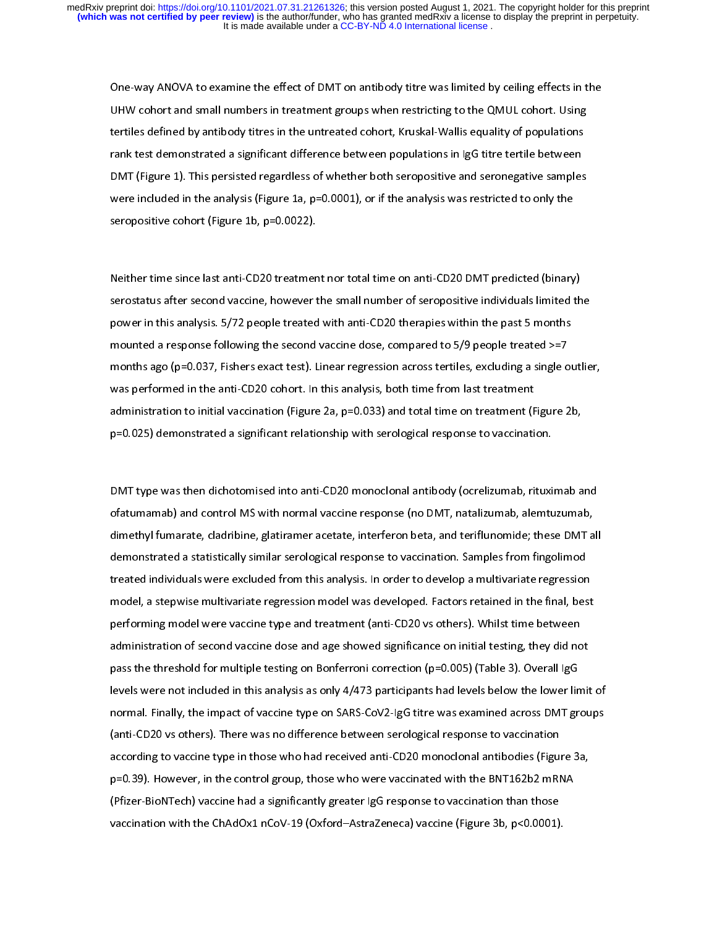One-way ANOVA to examine the effect of DMT on antibody titre was limited by ceiling effects in the<br>UHW cohort and small numbers in treatment groups when restricting to the QMUL cohort. Using tertiles defined by antibody titres in the untreated cohort, Kruskal-Wallis equality of populations rank test demonstrated a significant difference between populations in IgG titre tertile between DMT (Figure 1). This persisted regardless of whether both seropositive and seronegative samples were included in the analysis (Figure 1a,  $p=0.0001$ ), or if the analysis was restricted to only the seropositive cohort (Figure 1b, p=0.0022). seropositive cohort (Figure 1b, p=0.0022).

 $\overline{1}$ Neither time since last anti-CD20 treatment nor total time on anti-CD20 DMT predicted (binary) power in this analysis. 5/72 people treated with anti-CD20 therapies within the past 5 months mounted a response following the second vaccine dose, compared to 5/9 people treated  $> = 7$ months ago (p=0.037, Fishers exact test). Linear regression across tertiles, excluding a single outlier, was performed in the anti-CD20 cohort. In this analysis, both time from last treatment administration to initial vaccination (Figure 2a,  $p=0.033$ ) and total time on treatment (Figure 2b, p=0.025) demonstrated a significant relationship with serological response to vaccination. p=0.025) demonstrated a significant relationship with serological response to vaccination.

 $\overline{1}$ DMT type was then dichotomised into anti-CD20 monoclonal antibody (ocrelizumab, rituximab and dimethyl fumarate, cladribine, glatiramer acetate, interferon beta, and teriflunomide; these DMT all demonstrated a statistically similar serological response to vaccination. Samples from fingolimod treated individuals were excluded from this analysis. In order to develop a multivariate regression model, a stepwise multivariate regression model was developed. Factors retained in the final, best performing model were vaccine type and treatment (anti-CD20 vs others). Whilst time between administration of second vaccine dose and age showed significance on initial testing, they did not pass the threshold for multiple testing on Bonferroni correction (p=0.005) (Table 3). Overall IgG levels were not included in this analysis as only 4/473 participants had levels below the lower limit of normal. Finally, the impact of vaccine type on SARS-CoV2-IgG titre was examined across DMT groups (anti-CD20 vs others). There was no difference between serological response to vaccination according to vaccine type in those who had received anti-CD20 monoclonal antibodies (Figure 3a, p=0.39). However, in the control group, those who were vaccinated with the BNT162b2 mRNA (Pfizer-BioNTech) vaccine had a significantly greater IgG response to vaccination than those vaccination with the ChAdOx1 nCoV-19 (Oxford-AstraZeneca) vaccine (Figure 3b, p<0.0001). vaccination with the ChAdOx1 nCoV-19 ( $\frac{1}{2}$  nCoV-19 (Figure 3b, p. 0.0001).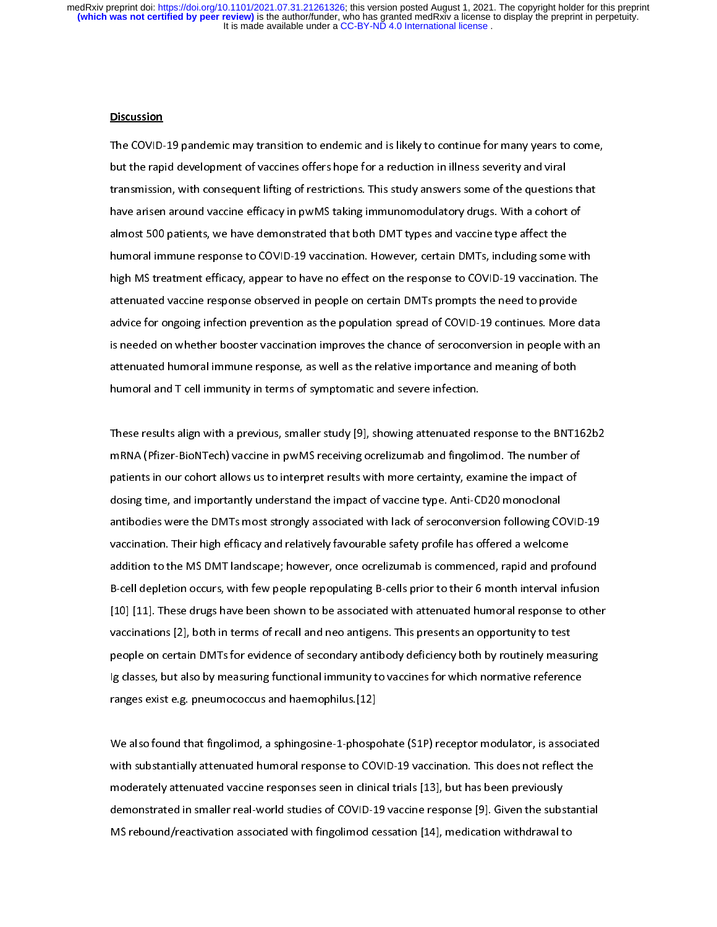# ֚֬<br>֧<u>׀</u> **Discussion**

The COVID-19 pandemic may transition to endemic and is likely to continue for many years to come,<br>but the rapid development of vaccines offers hope for a reduction in illness severity and viral transmission, with consequent lifting of restrictions. This study answers some of the questions that have arisen around vaccine efficacy in pwMS taking immunomodulatory drugs. With a cohort of almost 500 patients, we have demonstrated that both DMT types and vaccine type affect the humoral immune response to COVID-19 vaccination. However, certain DMTs, including some with high MS treatment efficacy, appear to have no effect on the response to COVID-19 vaccination. The attenuated vaccine response observed in people on certain DMTs prompts the need to provide advice for ongoing infection prevention as the population spread of COVID-19 continues. More data is needed on whether booster vaccination improves the chance of seroconversion in people with an attenuated humoral immune response, as well as the relative importance and meaning of both humoral and T cell immunity in terms of symptomatic and severe infection. humoral and T cell immunity in terms of symptomatic and severe infection.

 $\overline{1}$ These results align with a previous, smaller study [9], showing attenuated response to the BNT162b2<br>mRNA (Pfizer-BioNTech) vaccine in pwMS receiving ocrelizumab and fingolimod. The number of patients in our cohort allows us to interpret results with more certainty, examine the impact of dosing time, and importantly understand the impact of vaccine type. Anti-CD20 monoclonal antibodies were the DMTs most strongly associated with lack of seroconversion following COVID-19 vaccination. Their high efficacy and relatively favourable safety profile has offered a welcome addition to the MS DMT landscape; however, once ocrelizumab is commenced, rapid and profound B-cell depletion occurs, with few people repopulating B-cells prior to their 6 month interval infusion [10] [11]. These drugs have been shown to be associated with attenuated humoral response to other vaccinations [2], both in terms of recall and neo antigens. This presents an opportunity to test people on certain DMTs for evidence of secondary antibody deficiency both by routinely measuring Ig classes, but also by measuring functional immunity to vaccines for which normative reference ranges exist e.g. pneumococcus and haemophilus [12] ranges exist e.g. pneumococcus and haemophilus.[12]

 $\overline{a}$ We also found that fingolimod, a sphingosine-1-phospohate (S1P) receptor modulator, is associated<br>with substantially attenuated humoral response to COVID-19 vaccination. This does not reflect the moderately attenuated vaccine responses seen in clinical trials [13], but has been previously demonstrated in smaller real-world studies of COVID-19 vaccine response [9]. Given the substantial MS rebound/reactivation associated with fingolimod cessation [14], medication withdrawal to  $M$  reported with final to associated with fingle with  $(14)$ , medication with definition  $\mathcal{L}_1$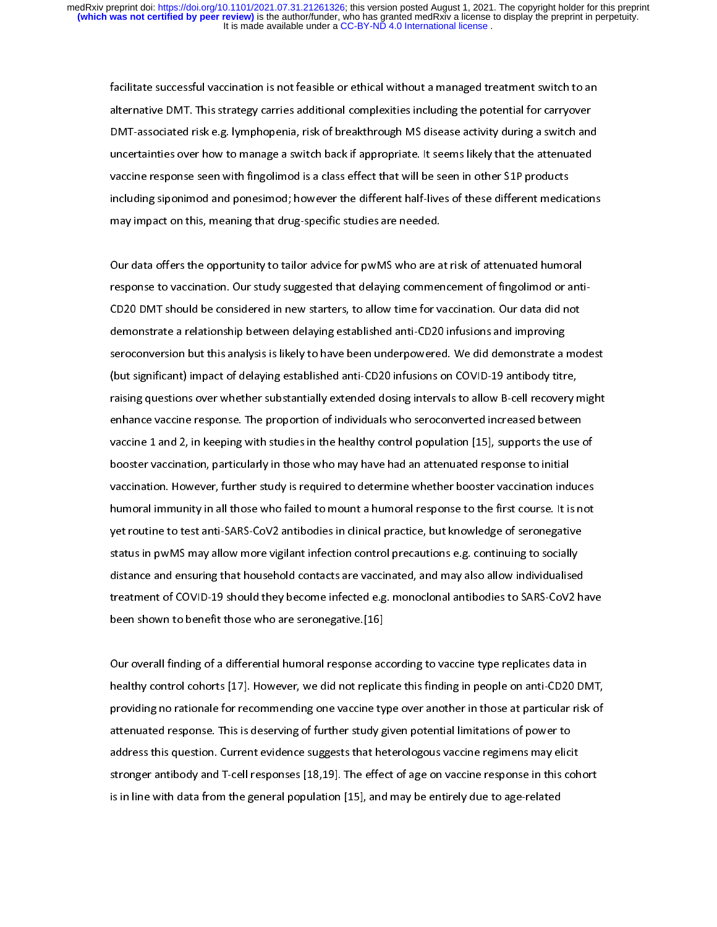facilitate successful vaccination is not feasible or ethical without a managed treatment switch to an<br>alternative DMT. This strategy carries additional complexities including the potential for carryover DMT-associated risk e.g. lymphopenia, risk of breakthrough MS disease activity during a switch and uncertainties over how to manage a switch back if appropriate. It seems likely that the attenuated vaccine response seen with fingolimod is a class effect that will be seen in other S1P products including siponimod and ponesimod; however the different half-lives of these different medications may impact on this, meaning that drug-specific studies are needed. may impact on this, meaning that drug-specific studies are needed.

 $\overline{a}$ Our data offers the opportunity to tailor advice for pwMS who are at risk of attenuated humoral<br>response to vaccination. Our study suggested that delaying commencement of fingolimod or anti-CD20 DMT should be considered in new starters, to allow time for vaccination. Our data did not demonstrate a relationship between delaying established anti-CD20 infusions and improving seroconversion but this analysis is likely to have been underpowered. We did demonstrate a modest (but significant) impact of delaying established anti-CD20 infusions on COVID-19 antibody titre, raising questions over whether substantially extended dosing intervals to allow B-cell recovery might enhance vaccine response. The proportion of individuals who seroconverted increased between vaccine 1 and 2, in keeping with studies in the healthy control population  $[15]$ , supports the use of booster vaccination, particularly in those who may have had an attenuated response to initial vaccination. However, further study is required to determine whether booster vaccination induces humoral immunity in all those who failed to mount a humoral response to the first course. It is not yet routine to test anti-SARS-CoV2 antibodies in clinical practice, but knowledge of seronegative status in pwMS may allow more vigilant infection control precautions e.g. continuing to socially distance and ensuring that household contacts are vaccinated, and may also allow individualised treatment of COVID-19 should they become infected e.g. monoclonal antibodies to SARS-CoV2 have been shown to benefit those who are seronegative [16] been shown to be those who are seronegative.<br>[16] the series who are served who are served who are served with the series who are served with the series wh

 $\overline{a}$ Our overall finding of a differential humoral response according to vaccine type replicates data in<br>healthy control cohorts [17]. However, we did not replicate this finding in people on anti-CD20 DMT, providing no rationale for recommending one vaccine type over another in those at particular risk of attenuated response. This is deserving of further study given potential limitations of power to address this question. Current evidence suggests that heterologous vaccine regimens may elicit stronger antibody and T-cell responses [18,19]. The effect of age on vaccine response in this cohort is in line with data from the general population [15], and may be entirely due to age-related is in line with data from the general population  $\mathcal{I}$ , and may be entirely due to age-related to age-related to age-relation  $\mathcal{I}$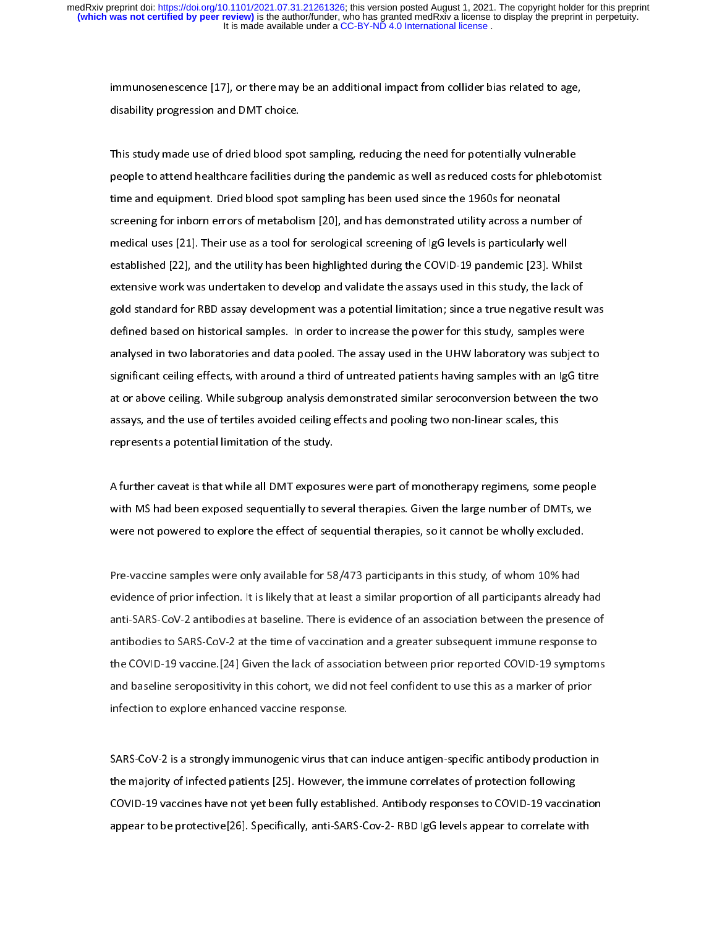immunosenescence [17], or there may be an additional impact from collider bias related to age,<br>disability progression and DMT choice. disability progression and DMT choice.

 $\overline{1}$ This study made use of dried blood spot sampling, reducing the need for potentially vulnerable<br>people to attend healthcare facilities during the pandemic as well as reduced costs for phlebotomist time and equipment. Dried blood spot sampling has been used since the 1960s for neonatal screening for inborn errors of metabolism [20], and has demonstrated utility across a number of medical uses [21]. Their use as a tool for serological screening of IgG levels is particularly well established [22], and the utility has been highlighted during the COVID-19 pandemic [23]. Whilst extensive work was undertaken to develop and validate the assays used in this study, the lack of gold standard for RBD assay development was a potential limitation; since a true negative result was defined based on historical samples. In order to increase the power for this study, samples were analysed in two laboratories and data pooled. The assay used in the UHW laboratory was subject to significant ceiling effects, with around a third of untreated patients having samples with an IgG titre at or above ceiling. While subgroup analysis demonstrated similar seroconversion between the two assays, and the use of tertiles avoided ceiling effects and pooling two non-linear scales, this represents a potential limitation of the study. represents a potential limitation of the study.

 $\overline{a}$ A further caveat is that while all DMT exposures were part of monotherapy regimens, some people<br>with MS had been exposed sequentially to several therapies. Given the large number of DMTs, we were not powered to explore the effect of sequential therapies, so it cannot be wholly excluded. were not powered to explore the effect of sequential the effect of sequential therapies, so it can not be wholly excluded.

|<br>| Pre-vaccine samples were only available for 58/473 participants in this study, of whom 10% had<br>evidence of prior infection. It is likely that at least a similar proportion of all participants already had anti-SARS-CoV-2 antibodies at baseline. There is evidence of an association between the presence of antibodies to SARS-CoV-2 at the time of vaccination and a greater subsequent immune response to the COVID-19 vaccine. [24] Given the lack of association between prior reported COVID-19 symptoms and baseline seropositivity in this cohort, we did not feel confident to use this as a marker of prior infection to explore enhanced vaccine response. infection to explore enhanced vaccine response.

 $\ddot{\phantom{0}}$ SARS-CoV-2 is a strongly immunogenic virus that can induce antigen-specific antibody production in COVID-19 vaccines have not yet been fully established. Antibody responses to COVID-19 vaccination appear to be protective [26]. Specifically, anti-SARS-Cov-2-RBD IgG levels appear to correlate with appear to be protective [26]. Specifically, and  $\sigma$  and  $\sigma$  are  $\sigma$  covered appear to contain with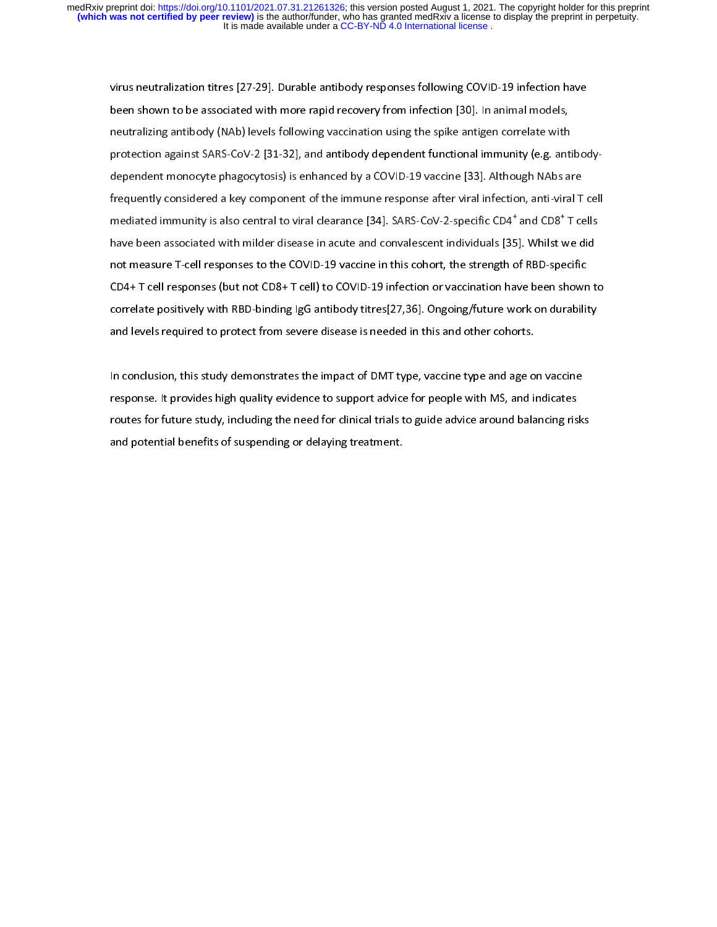virus neutralization titres [27-29]. Durable antibody responses following COVID-19 infection have<br>been shown to be associated with more rapid recovery from infection [30]. In animal models, neutralizing antibody (NAb) levels following vaccination using the spike antigen correlate with protection against SARS-CoV-2 [31-32], and antibody dependent functional immunity (e.g. antibodydependent monocyte phagocytosis) is enhanced by a COVID-19 vaccine [33]. Although NAbs are frequently considered a key component of the immune response after viral infection, anti-viral T cell mediated immunity is also central to viral clearance [34]. SARS-CoV-2-specific CD4<sup>+</sup> and CD8<sup>+</sup> T cells mediated immunity is also central to viral clearance [34]. SARS-CoV-2-specific CD4 -and CD8 - I cells<br>have been associated with milder disease in acute and convalescent individuals [35]. Whilst we did not measure T-cell responses to the COVID-19 vaccine in this cohort, the strength of RBD-specific CD4+ T cell responses (but not CD8+ T cell) to COVID-19 infection or vaccination have been shown to correlate positively with RBD-binding IgG antibody titres[27,36]. Ongoing/future work on durability and levels required to protect from severe disease is needed in this and other cohorts. and levels required to protect from severe disease is needed in this and other cohorts.

 $\overline{1}$ In conclusion, this study demonstrates the impact of DMT type, vaccine type and age on vaccine<br>response. It provides high quality evidence to support advice for people with MS, and indicates routes for future study, including the need for clinical trials to guide advice around balancing risks and potential benefits of suspending or delaying treatment. and potential benefits of suspending or delaying treatment.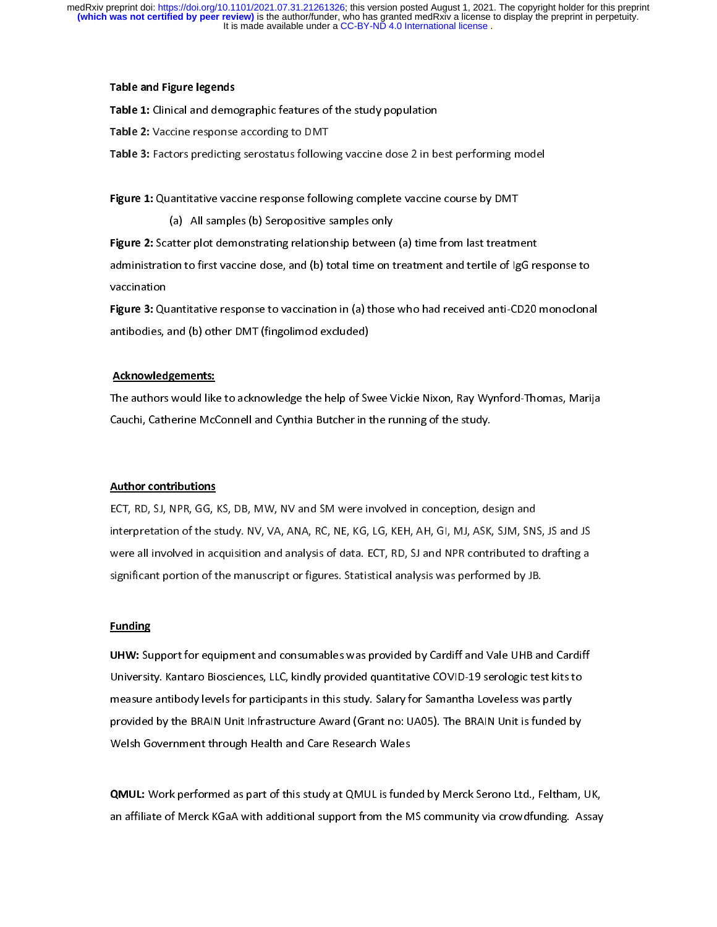### Table and Figure legends

Table 1: Clinical and demographic features of the study population<br>Table 2: Vaccine response according to DMT

Table 2: Vaccine response according to DMT<br>Table 3: Factors predicting serostatus followi Table 3: Factors predicting serostatus following vaccine dose 2 in best performing model

|<br>| Figure 1: Quantitative vaccine response following complete vaccine course by DMT<br>(a) All samples (b) Seropositive samples only

Figure 2: Scatter plot demonstrating relationship between (a) time from last treatment administration to first vaccine dose, and (b) total time on treatment and tertile of IgG response to  $\mathcal{A}$  and (b) to first vaccination to first vaccine on treatment and terminister of IgG response to IgG response to IgG response to IgG response to IgG response to IgG response to IgG response to IgG response to IgG re

vaccination<br>**Figure 3:** Quantitative response to vaccination in (a) those who had received anti-CD20 monoclonal antibodies, and (b) other DMT (fingolimod excluded) and  $\mathcal{A}$  other DMT (fingolimod excluded)

#### Acknowledgements:

The authors would like to acknowledge the help of Swee Vickie Nixon, Ray Wynford-Thomas, Marija<br>Cauchi, Catherine McConnell and Cynthia Butcher in the running of the study. Cauchi, Catherine McConnell and Cynthia Butcher in the running of the study.

<u>Author contributions</u><br>ECT, RD, SJ, NPR, GG, KS, DB, MW, NV and SM were involved in conception, design and interpretation of the study. NV, VA, ANA, RC, NE, KG, LG, KEH, AH, GI, MJ, ASK, SJM, SNS, JS and JS were all involved in acquisition and analysis of data. ECT, RD, SJ and NPR contributed to drafting a significant portion of the manuscript or figures. Statistical analysis was performed by JB. significant portion of the manuscript or figures. Statistical analysis was performed by JB.

# l

**Funding**<br>UHW: Support for equipment and consumables was provided by Cardiff and Vale UHB and Cardiff University. Kantaro Biosciences, LLC, kindly provided quantitative COVID-19 serologic test kits to measure antibody levels for participants in this study. Salary for Samantha Loveless was partly provided by the BRAIN Unit Infrastructure Award (Grant no: UA05). The BRAIN Unit is funded by Welsh Government through Health and Care Research Wales Welsh Government through Health and Care Research Wales

 $\overline{\phantom{a}}$ QMUL: Work performed as part of this study at QMUL is funded by Merck Serono Ltd., Feltham, UK, an affiliate of Merck Katalonal support from the MS community via community. Assay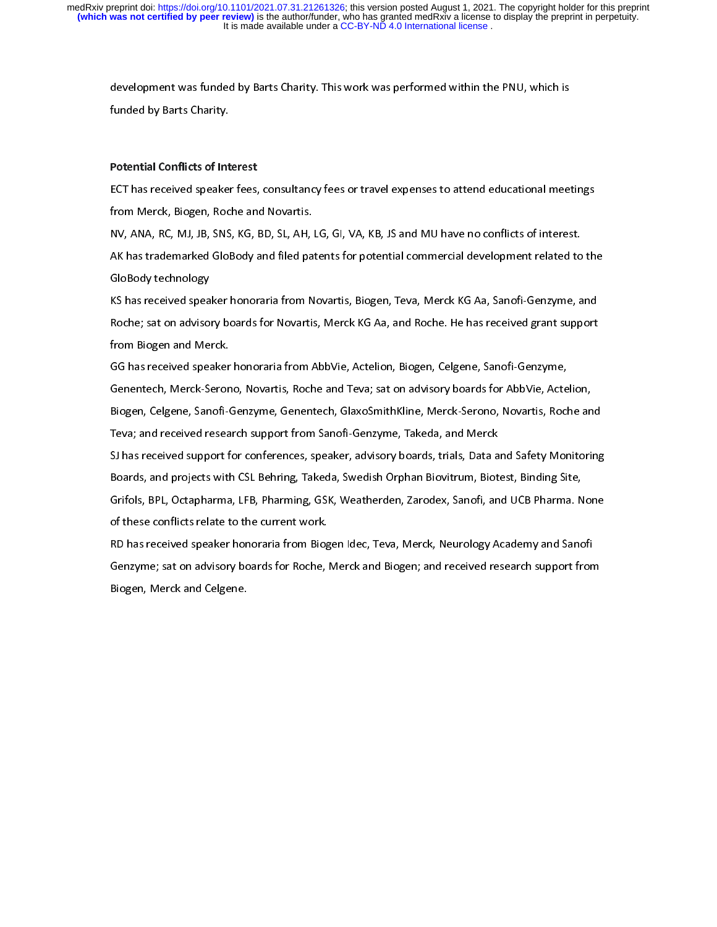development was funded by Barts Charity. This work was performed with the PNU, which is which is which is which is which is which is which is which is which is which is which is which is which is which is which is which is funded by Barts Charity.

# .<br>| Potential Conflicts of Interest

ECT has received speaker fees, consultancy fees or travel expenses to attend educational meetings<br>from Merck, Biogen, Roche and Novartis.

NV, ANA, RC, MJ, JB, SNS, KG, BD, SL, AH, LG, GI, VA, KB, JS and MU have no conflicts of interest. AK has trademarked GloBody and filed patents for potential commercial development related to the AK has trademarked GloBody and filed patents for potential commercial development related to the GloBody technology<br>KS has received speaker honoraria from Novartis, Biogen, Teva, Merck KG Aa, Sanofi-Genzyme, and

Roche; sat on advisory boards for Novartis, Merck KG Aa, and Roche. He has received grant support Roche, sat on advisory boards for Novartis, Merck KG, and Roche. He has received grant support<br>from Biogen and Merck. from Biogen and Merck.<br>GG has received speaker honoraria from AbbVie, Actelion, Biogen, Celgene, Sanofi-Genzyme,

Genentech, Merck-Serono, Novartis, Roche and Teva; sat on advisory boards for AbbVie, Actelion, Biogen, Celgene, Sanofi-Genzyme, Genentech, GlaxoSmithKline, Merck-Serono, Novartis, Roche and Teva; and received research support from Sanofi-Genzyme, Takeda, and Merck

SJ has received support for conferences, speaker, advisory boards, trials, Data and Safety Monitoring Boards, and projects with CSL Behring, Takeda, Swedish Orphan Biovitrum, Biotest, Binding Site, Grifols, BPL, Octapharma, LFB, Pharming, GSK, Weatherden, Zarodex, Sanofi, and UCB Pharma. None of these conflicts relate to the current work.

RD has received speaker honoraria from Biogen Idec, Teva, Merck, Neurology Academy and Sanofi Genzyme; sat on advisory boards for Roche, Merck and Biogen; and received research support from Genzyme; sat on advisory boards for Rocky merchanisms and Biogen; and received received received research support from Biogen, Merck and Celgene.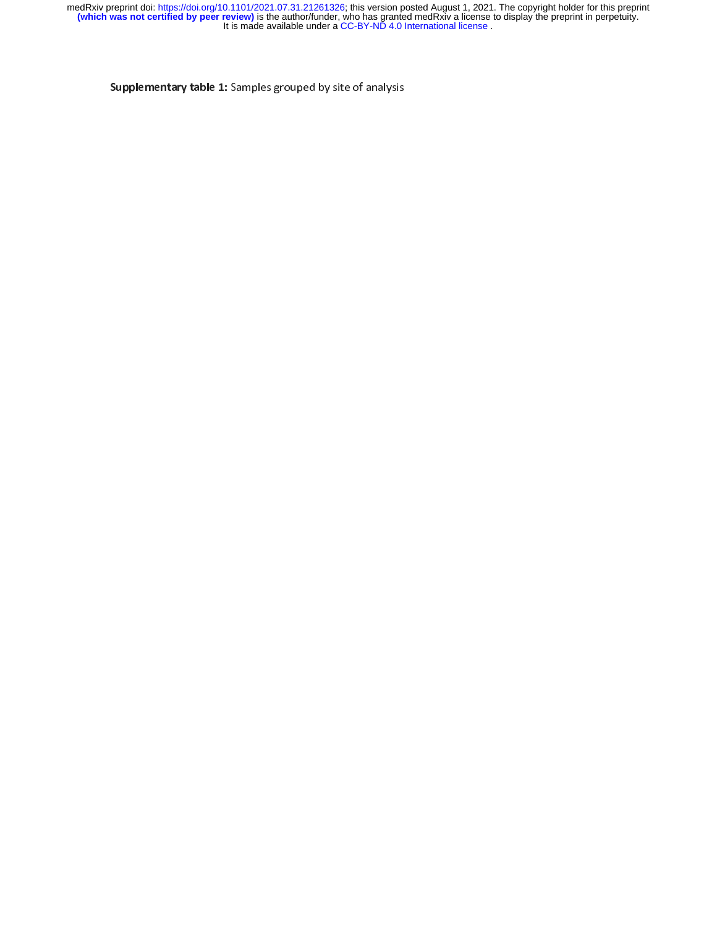Supplementary table 1: Samples grouped by site of analysis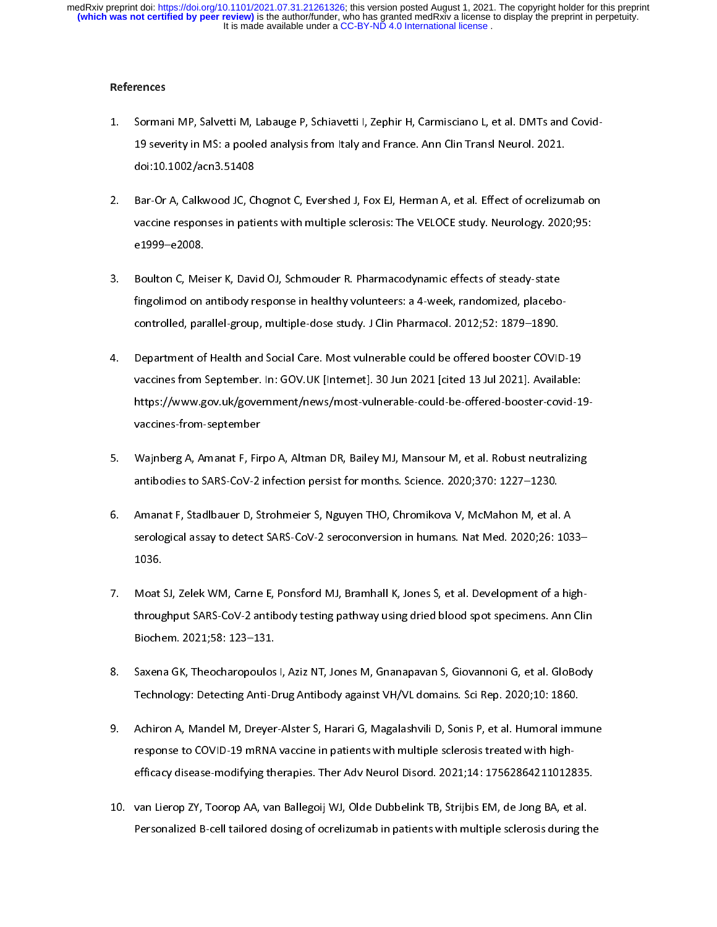### References

- Sormani MP, Salvetti M, Labauge P, Schiavetti I, Zephir H, Carmisciano L, et al. DMTs and Covid- $1 -$ 19 severity in MS: a pooled analysis from Italy and France. Ann Clin Transl Neurol. 2021. 19 severity in MS: a poole analysis from Italy and France. Ann Clin Transl Neurol. 2021.<br>doi:10.1002/acn3.51408 doi:10.1002/acn3.51408<br>Bar-Or A, Calkwood JC, Chognot C, Evershed J, Fox EJ, Herman A, et al. Effect of ocrelizumab on
- 2. Bar-Or A, Calkwood JC, Chognot C, Evershed J, Fox EJ, Herman A, et al. Effect of ocrelizumab o<br>vaccine responses in patients with multiple sclerosis: The VELOCE study. Neurology. 2020;95:  $v = 2008$ . e1999–e2008.<br>Boulton C, Meiser K, David OJ, Schmouder R. Pharmacodynamic effects of steady-state
- $3<sub>1</sub>$ fingolimod on antibody response in healthy volunteers: a 4-week, randomized, placebocontrolled, parallel-group, multiple-dose study. J Clin Pharmacol. 2012;52: 1879-1890.
- Department of Health and Social Care. Most vulnerable could be offered booster COVID-19 4. Department of Health and Social Care. Most vulnerable could be offered booster COVID-19 https://www.gov.uk/government/news/most-vulnerable-could-be-offered-booster-covid-19vaccines-from-september
- Wajnberg A, Amanat F, Firpo A, Altman DR, Bailey MJ, Mansour M, et al. Robust neutralizing 5. Wajnberg A, Amanat F, Firpo A, Altman DR, Bailey MJ, Mansour M, et al. Robust neutra<br>antibodies to SARS-CoV-2 infection persist for months. Science. 2020;370: 1227–1230.
- Amanat F, Stadlbauer D, Strohmeier S, Nguyen THO, Chromikova V, McMahon M, et al. A 6. Amanat F, Stadlbauer D, Strohmeier S, Nguyen THO, Chromikova V, McMahon M, et al. A  $s<sup>2</sup>$ serological assay to detect SARS-Cove $2$ seroconversion in humans. Natural assay to detect  $\frac{1}{2}$ 1036.<br>Moat SJ, Zelek WM, Carne E, Ponsford MJ, Bramhall K, Jones S, et al. Development of a high-
- $7<sup>7</sup>$ throughput SARS-CoV-2 antibody testing pathway using dried blood spot specimens. Ann Clin Biochem. 2021;58: 123-131.
- Saxena GK, Theocharopoulos I, Aziz NT, Jones M, Gnanapavan S, Giovannoni G, et al. GloBody 8. Saxena GK, Theocharopoulos I, Aziz NT, Jones M, Gnanapavan S, Giovannoni G, et al. GloBo<br>Technology: Detecting Anti-Drug Antibody against VH/VL domains. Sci Rep. 2020;10: 1860.
- Achiron A, Mandel M, Dreyer-Alster S, Harari G, Magalashvili D, Sonis P, et al. Humoral immune 9. Achiron A, Mandel M, Dreyer-Alster S, Harari G, Magalashvili D, Sonis P, et al. Humoral immune 9.<br>-response to COVID-19 mRNA vaccine in patients with multiple sclerosis treated with high efficacy disease-modifying therapies. Ther Adv Neurol Disord. 2021;14: 17562864211012835.
- 10. van Lierop ZY, Toorop AA, van Ballegoij WJ, Olde Dubbelink TB, Strijbis EM, de Jong BA, et al. Personalized B-cell tailored dosing of ocrelizumab in patients with multiple sclerosis during the Personalized B-cell tailored dosing of ocrelizumab in patients with multiple sclerosis during the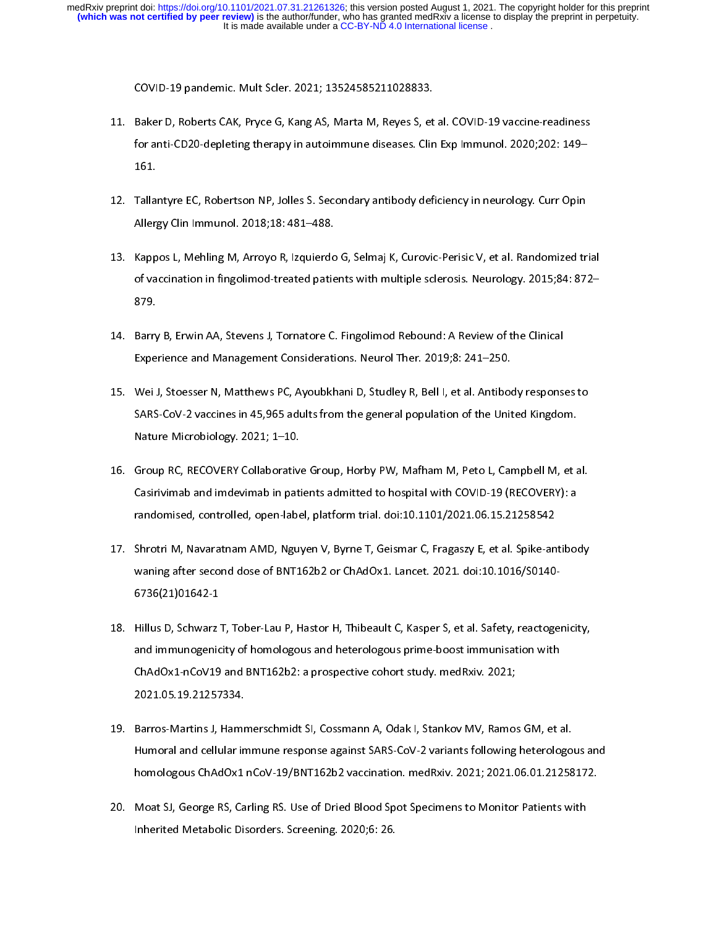- COVID-19 pandemic. Mult Scler. 2021; 13524585211028833.<br>11. Baker D, Roberts CAK, Pryce G, Kang AS, Marta M, Reyes S, et al. COVID-19 vaccine-readiness for anti-CD20-depleting therapy in autoimmune diseases. Clin Exp Immunol. 2020;202: 149for anti-CD20-depleting therapy in autoimmune diseases. Clin Exp Immunol. 2020;202: 149– 161.<br>12. Tallantyre EC, Robertson NP, Jolles S. Secondary antibody deficiency in neurology. Curr Opin
- Allergy Clin Immunol. 2018; 18: 481-488.
- 13. Kappos L, Mehling M, Arroyo R, Izquierdo G, Selmaj K, Curovic-Perisic V, et al. Randomized trial of vaccination in fingolimod-treated patients with multiple sclerosis. Neurology. 2015;84: 872of vaccination in fingolimod-treated patients with multiple sclerosis. Neurology. 2015;84: 872– 879.<br>14. Barry B, Erwin AA, Stevens J, Tornatore C. Fingolimod Rebound: A Review of the Clinical
- Experience and Management Considerations. Neurol Ther. 2019;8: 241-250.
- 15. Wei J, Stoesser N, Matthews PC, Ayoubkhani D, Studley R, Bell I, et al. Antibody responses to SARS-CoV-2 vaccines in 45,965 adults from the general population of the United Kingdom. Nature Microbiology. 2021; 1-10.
- 16. Group RC, RECOVERY Collaborative Group, Horby PW, Mafham M, Peto L, Campbell M, et al. Casirivimab and imdevimab in patients admitted to hospital with COVID-19 (RECOVERY): a randomised, controlled, open-label, platform trial. doi:10.1101/2021.06.15.21258542
- 17. Shrotri M, Navaratnam AMD, Nguyen V, Byrne T, Geismar C, Fragaszy E, et al. Spike-antibody waning after second dose of BNT162b2 or ChAdOx1. Lancet. 2021. doi:10.1016/S0140- $\frac{6}{5}$ 6736(21)01642-1. Lancet. 2021. Lancet. 2021. Lancet. 2021. Doi:101642-1. 6736(21)01642-1<br>18. Hillus D, Schwarz T, Tober-Lau P, Hastor H, Thibeault C, Kasper S, et al. Safety, reactogenicity,
- and immunogenicity of homologous and heterologous prime-boost immunisation with ChAdOx1-nCoV19 and BNT162b2: a prospective cohort study. medRxiv. 2021; 2021.05.19.21257334.
- 19. Barros-Martins J, Hammerschmidt SI, Cossmann A, Odak I, Stankov MV, Ramos GM, et al. Humoral and cellular immune response against SARS-CoV-2 variants following heterologous and homologous ChAdOx1 nCoV-19/BNT162b2 vaccination. medRxiv. 2021; 2021.06.01.21258172.
- 20. Moat SJ, George RS, Carling RS. Use of Dried Blood Spot Specimens to Monitor Patients with Inherited Metabolic Disorders. Screening. 2020;6: 26. Inherited Metabolic Disorders. Screening. 2020;6: 26.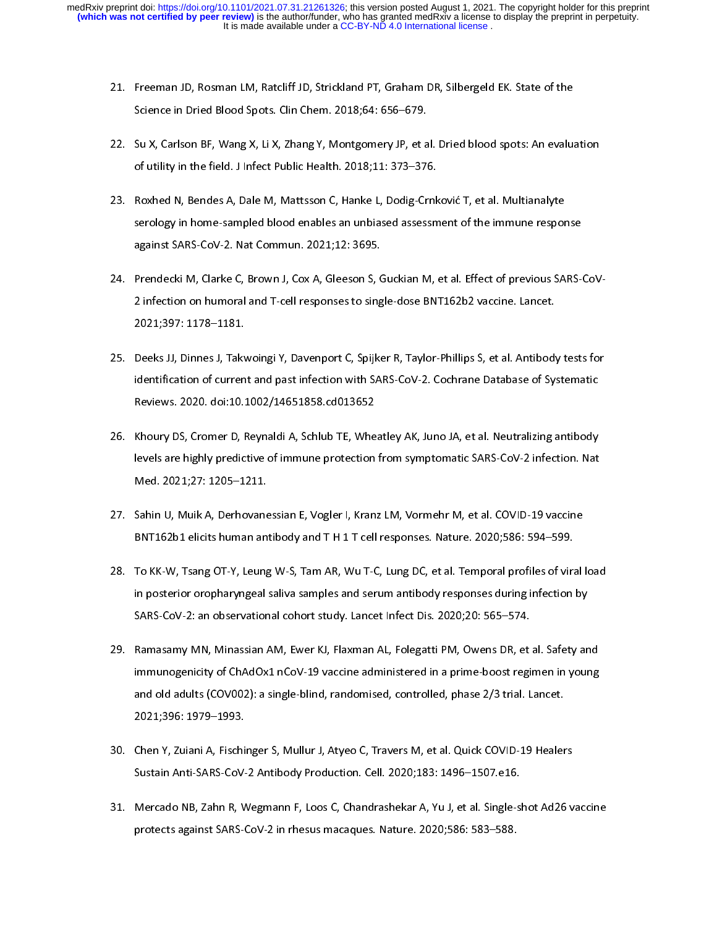- 21. Freeman JD, Rosman LM, Ratcliff JD, Strickland PT, Graham DR, Silbergeld EK. State of the
- 22. Su X, Carlson BF, Wang X, Li X, Zhang Y, Montgomery JP, et al. Dried blood spots: An evaluation of utility in the field. J Infect Public Health. 2018;11: 373-376.
- 23. Roxhed N, Bendes A, Dale M, Mattsson C, Hanke L, Dodig-Crnković T, et al. Multianalyte serology in home-sampled blood enables an unbiased assessment of the immune response against SARS-CoV-2. Nat Commun. 2021;12: 3695.
- 24. Prendecki M, Clarke C, Brown J, Cox A, Gleeson S, Guckian M, et al. Effect of previous SARS-CoV-2 infection on humoral and T-cell responses to single-dose BNT162b2 vaccine. Lancet. 2 infection on humoral and T-cell responses to single-doce BNT11212 vacanteers.<br>2021;397: 1178–1181. 2021;397: 1178–1181.<br>25. Deeks JJ, Dinnes J, Takwoingi Y, Davenport C, Spijker R, Taylor-Phillips S, et al. Antibody tests for
- identification of current and past infection with SARS-CoV-2. Cochrane Database of Systematic Reviews. 2020. doi:10.1002/14651858.cd013652
- 26. Khoury DS, Cromer D, Reynaldi A, Schlub TE, Wheatley AK, Juno JA, et al. Neutralizing antibody levels are highly predictive of immune protection from symptomatic SARS-CoV-2 infection. Nat  $\text{Med. } 2021; 27: 1205-1211.$ Med. 2021;27: 1205–1211.<br>27. Sahin U, Muik A, Derhovanessian E, Vogler I, Kranz LM, Vormehr M, et al. COVID-19 vaccine
- BNT162b1 elicits human antibody and TH1T cell responses. Nature. 2020;586: 594-599.
- 28. To KK-W, Tsang OT-Y, Leung W-S, Tam AR, Wu T-C, Lung DC, et al. Temporal profiles of viral load in posterior oropharyngeal saliva samples and serum antibody responses during infection by SARS-CoV-2: an observational cohort study. Lancet Infect Dis. 2020;20: 565-574.
- 29. Ramasamy MN, Minassian AM, Ewer KJ, Flaxman AL, Folegatti PM, Owens DR, et al. Safety and immunogenicity of ChAdOx1 nCoV-19 vaccine administered in a prime-boost regimen in young and old adults (COV002): a single-blind, randomised, controlled, phase 2/3 trial. Lancet. and old adults (COV002): a single-blind, randomised, controlled, phase 2/3 trial. Lancet.<br>2021;396: 1979–1993. 2021;396: 1979–1993.<br>30. Chen Y, Zuiani A, Fischinger S, Mullur J, Atyeo C, Travers M, et al. Quick COVID-19 Healers
- Sustain Anti-SARS-CoV-2 Antibody Production. Cell. 2020;183: 1496-1507.e16.
- 31. Mercado NB, Zahn R, Wegmann F, Loos C, Chandrashekar A, Yu J, et al. Single-shot Ad26 vaccine protects against SARS-CoV-2 in rhesus macaques. Nature. 2020;586: 583-588. protects against SARS-CoV-2 in rhesus macaques. Nature. 2020;586: 583–588.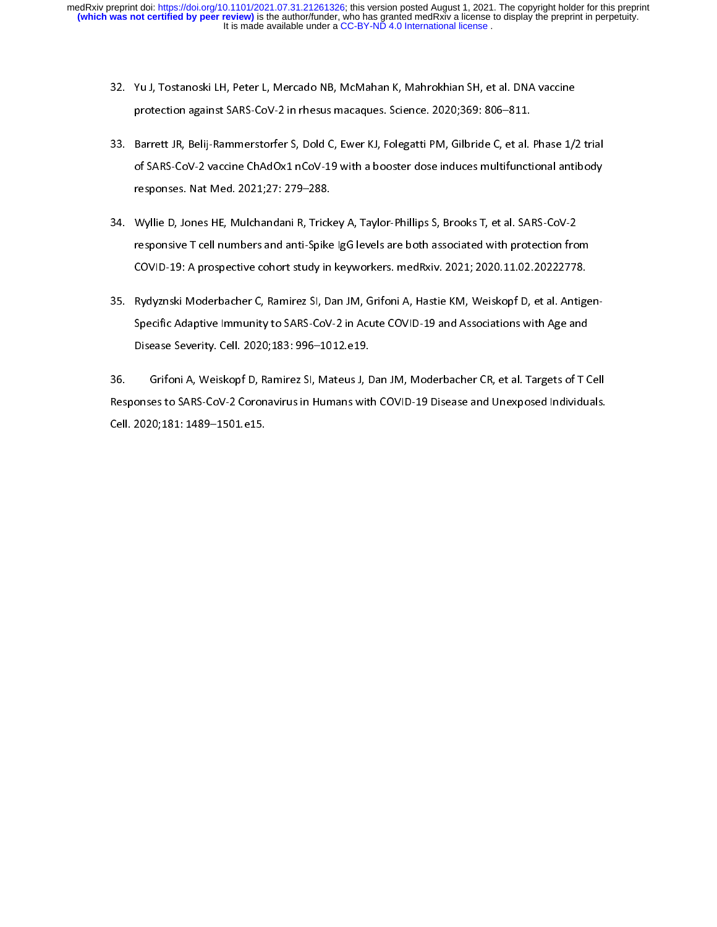- 32. Yu J, Tostanoski LH, Peter L, Mercado NB, McMahan K, Mahrokhian SH, et al. DNA vaccine
- 33. Barrett JR, Belij-Rammerstorfer S, Dold C, Ewer KJ, Folegatti PM, Gilbride C, et al. Phase 1/2 trial of SARS-CoV-2 vaccine ChAdOx1 nCoV-19 with a booster dose induces multifunctional antibody responses. Nat Med. 2021;27: 279-288.
- 34. Wyllie D, Jones HE, Mulchandani R, Trickey A, Taylor-Phillips S, Brooks T, et al. SARS-CoV-2 responsive T cell numbers and anti-Spike IgG levels are both associated with protection from COVID-19: A prospective cohort study in keyworkers. medRxiv. 2021; 2020.11.02.20222778.
- 35. Rydyznski Moderbacher C, Ramirez SI, Dan JM, Grifoni A, Hastie KM, Weiskopf D, et al. Antigen-Specific Adaptive Immunity to SARS-CoV-2 in Acute COVID-19 and Associations with Age and Disease Severity. Cell. 2020;183: 996-1012.e19.

Grifoni A, Weiskopf D, Ramirez SI, Mateus J, Dan JM, Moderbacher CR, et al. Targets of T Cell 36. Grifoni A, Weiskopf D, Ramirez SI, Mateus J, Dan JM, Moderbacher CR, et al. Targets of T Cell Cell. 2020;181: 1489-1501.e15. Cell. 2020;181: 1489–1501.<br>1489–1501.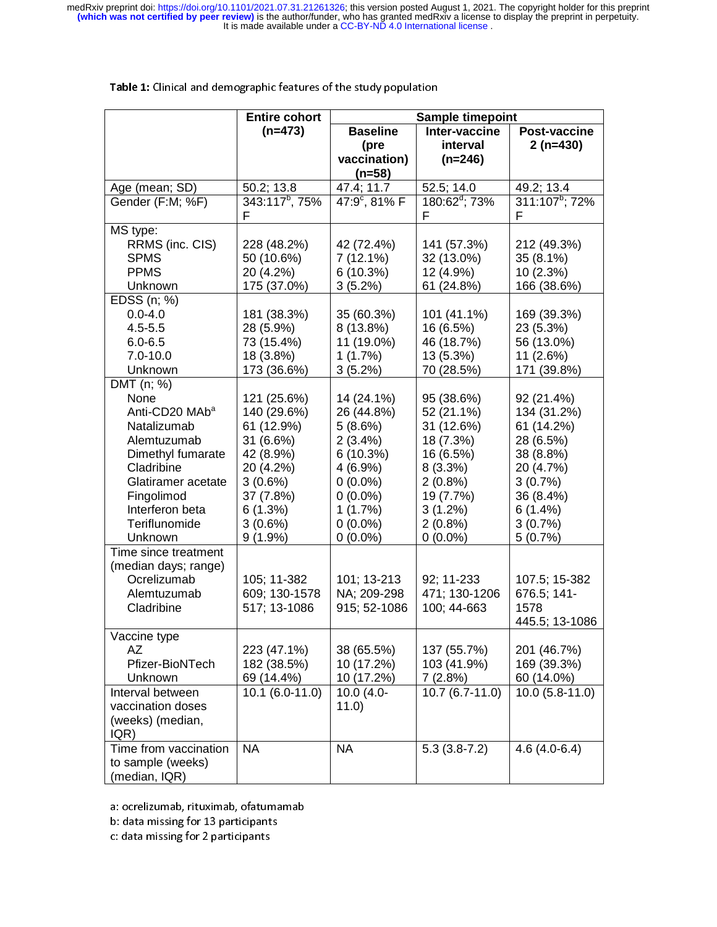|                                                                                                                                                                                                      | <b>Entire cohort</b><br>Sample timepoint                                                                                                          |                                                                                                                                                |                                                                                                                                                     |                                                                                                                                         |
|------------------------------------------------------------------------------------------------------------------------------------------------------------------------------------------------------|---------------------------------------------------------------------------------------------------------------------------------------------------|------------------------------------------------------------------------------------------------------------------------------------------------|-----------------------------------------------------------------------------------------------------------------------------------------------------|-----------------------------------------------------------------------------------------------------------------------------------------|
|                                                                                                                                                                                                      | $(n=473)$                                                                                                                                         | <b>Baseline</b><br>(pre<br>vaccination)<br>$(n=58)$                                                                                            | Inter-vaccine<br>interval<br>$(n=246)$                                                                                                              | Post-vaccine<br>$2(n=430)$                                                                                                              |
| Age (mean; SD)                                                                                                                                                                                       | 50.2; 13.8                                                                                                                                        | 47.4; 11.7                                                                                                                                     | 52.5; 14.0                                                                                                                                          | 49.2; 13.4                                                                                                                              |
| Gender (F:M; %F)                                                                                                                                                                                     | 343:117 <sup>b</sup> , 75%<br>F                                                                                                                   | 47:9°, 81% F                                                                                                                                   | $180:62^{\circ}$ ; 73%<br>F                                                                                                                         | 311:107 <sup>b</sup> ; 72%<br>F                                                                                                         |
| MS type:<br>RRMS (inc. CIS)<br><b>SPMS</b><br><b>PPMS</b><br>Unknown                                                                                                                                 | 228 (48.2%)<br>50 (10.6%)<br>20 (4.2%)<br>175 (37.0%)                                                                                             | 42 (72.4%)<br>$7(12.1\%)$<br>6(10.3%)<br>3(5.2%)                                                                                               | 141 (57.3%)<br>32 (13.0%)<br>12 (4.9%)<br>61 (24.8%)                                                                                                | 212 (49.3%)<br>35 (8.1%)<br>10 (2.3%)<br>166 (38.6%)                                                                                    |
| EDSS (n; %)<br>$0.0 - 4.0$<br>$4.5 - 5.5$<br>$6.0 - 6.5$<br>$7.0 - 10.0$<br>Unknown                                                                                                                  | 181 (38.3%)<br>28 (5.9%)<br>73 (15.4%)<br>18 (3.8%)<br>173 (36.6%)                                                                                | 35 (60.3%)<br>8 (13.8%)<br>11 (19.0%)<br>1(1.7%)<br>3(5.2%)                                                                                    | 101 (41.1%)<br>16 (6.5%)<br>46 (18.7%)<br>13 (5.3%)<br>70 (28.5%)                                                                                   | 169 (39.3%)<br>23 (5.3%)<br>56 (13.0%)<br>11 (2.6%)<br>171 (39.8%)                                                                      |
| DMT (n; %)<br>None<br>Anti-CD20 MAb <sup>a</sup><br>Natalizumab<br>Alemtuzumab<br>Dimethyl fumarate<br>Cladribine<br>Glatiramer acetate<br>Fingolimod<br>Interferon beta<br>Teriflunomide<br>Unknown | 121 (25.6%)<br>140 (29.6%)<br>61 (12.9%)<br>31 (6.6%)<br>42 (8.9%)<br>20 (4.2%)<br>$3(0.6\%)$<br>37 (7.8%)<br>6(1.3%)<br>$3(0.6\%)$<br>$9(1.9\%)$ | 14 (24.1%)<br>26 (44.8%)<br>5(8.6%)<br>$2(3.4\%)$<br>6(10.3%)<br>$4(6.9\%)$<br>$0(0.0\%)$<br>$0(0.0\%)$<br>1(1.7%)<br>$0(0.0\%)$<br>$0(0.0\%)$ | 95 (38.6%)<br>52 (21.1%)<br>31 (12.6%)<br>18 (7.3%)<br>16 (6.5%)<br>$8(3.3\%)$<br>$2(0.8\%)$<br>19 (7.7%)<br>$3(1.2\%)$<br>$2(0.8\%)$<br>$0(0.0\%)$ | 92 (21.4%)<br>134 (31.2%)<br>61 (14.2%)<br>28 (6.5%)<br>38 (8.8%)<br>20 (4.7%)<br>3(0.7%)<br>36 (8.4%)<br>6(1.4%)<br>3(0.7%)<br>5(0.7%) |
| Time since treatment<br>(median days; range)<br>Ocrelizumab<br>Alemtuzumab<br>Cladribine                                                                                                             | 105; 11-382<br>609; 130-1578<br>517; 13-1086                                                                                                      | 101; 13-213<br>NA; 209-298<br>915; 52-1086                                                                                                     | 92; 11-233<br>471; 130-1206<br>100; 44-663                                                                                                          | 107.5; 15-382<br>676.5; 141-<br>1578<br>445.5; 13-1086                                                                                  |
| Vaccine type<br>AZ<br>Pfizer-BioNTech<br>Unknown<br>Interval between<br>vaccination doses<br>(weeks) (median,<br>IQR)                                                                                | 223 (47.1%)<br>182 (38.5%)<br>69 (14.4%)<br>$10.1 (6.0 - 11.0)$                                                                                   | 38 (65.5%)<br>10 (17.2%)<br>10 (17.2%)<br>10.0 $(4.0 -$<br>11.0                                                                                | 137 (55.7%)<br>103 (41.9%)<br>7(2.8%)<br>$10.7(6.7-11.0)$                                                                                           | 201 (46.7%)<br>169 (39.3%)<br>60 (14.0%)<br>$10.0 (5.8 - 11.0)$                                                                         |
| Time from vaccination<br>to sample (weeks)<br>(median, IQR)                                                                                                                                          | <b>NA</b>                                                                                                                                         | <b>NA</b>                                                                                                                                      | $5.3(3.8-7.2)$                                                                                                                                      | $4.6(4.0-6.4)$                                                                                                                          |

Table 1: Clinical and demographic features of the study population

 a: ocrelizumab, rituximab, oratumamab<br>bedata missina fam12 martisipanta

b: data missing for 13 participants

c: data missing for 2 participants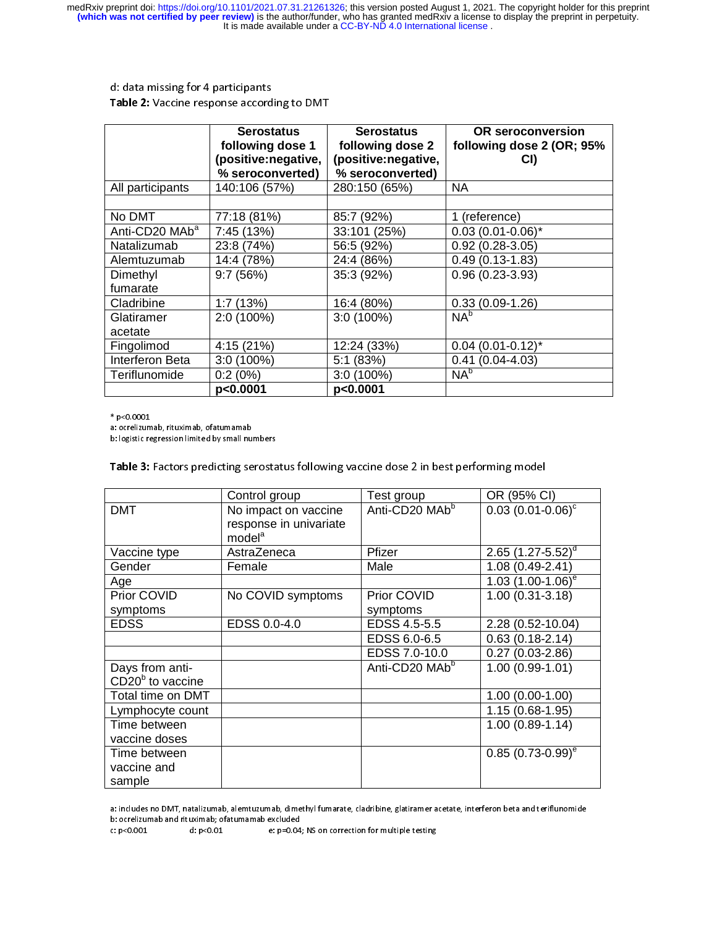# d: data missing for 4 participants Table 2: Vaccine response according to DMT

|                            | <b>Serostatus</b><br>following dose 1<br>(positive:negative,<br>% seroconverted) | <b>Serostatus</b><br>following dose 2<br>(positive:negative,<br>% seroconverted) | <b>OR</b> seroconversion<br>following dose 2 (OR; 95%<br>CI) |
|----------------------------|----------------------------------------------------------------------------------|----------------------------------------------------------------------------------|--------------------------------------------------------------|
| All participants           | 140:106 (57%)                                                                    | 280:150 (65%)                                                                    | NA.                                                          |
|                            |                                                                                  |                                                                                  |                                                              |
| No DMT                     | 77:18 (81%)                                                                      | 85:7 (92%)                                                                       | 1 (reference)                                                |
| Anti-CD20 MAb <sup>a</sup> | 7:45 (13%)                                                                       | 33:101 (25%)                                                                     | $0.03(0.01-0.06)^{*}$                                        |
| Natalizumab                | 23:8 (74%)                                                                       | 56:5 (92%)                                                                       | $0.92(0.28-3.05)$                                            |
| Alemtuzumab                | 14:4 (78%)                                                                       | 24:4 (86%)                                                                       | $0.49(0.13-1.83)$                                            |
| Dimethyl                   | 9:7(56%)                                                                         | 35:3 (92%)                                                                       | $0.96(0.23-3.93)$                                            |
| fumarate                   |                                                                                  |                                                                                  |                                                              |
| Cladribine                 | 1:7(13%)                                                                         | 16:4 (80%)                                                                       | $0.33(0.09-1.26)$                                            |
| Glatiramer                 | $2:0(100\%)$                                                                     | $3:0(100\%)$                                                                     | $NA^b$                                                       |
| acetate                    |                                                                                  |                                                                                  |                                                              |
| Fingolimod                 | 4:15 (21%)                                                                       | 12:24 (33%)                                                                      | $0.04$ (0.01-0.12)*                                          |
| Interferon Beta            | $3:0(100\%)$                                                                     | 5:1(83%)                                                                         | $0.41(0.04-4.03)$                                            |
| Teriflunomide              | 0:2(0%)                                                                          | $3:0(100\%)$                                                                     | $NA^b$                                                       |
|                            | p<0.0001                                                                         | p<0.0001                                                                         |                                                              |

 $*$  p<0.0001

a: ocrelizumab, rituximab, ofatumamab

a: ocrelizumab, rituximab, ofatumamab b: logistic regression limited by small numbers

l, Table 3: Factors predicting serostatus following vaccine dose 2 in best performing model

|                    | Control group          | Test group                 | OR (95% CI)              |
|--------------------|------------------------|----------------------------|--------------------------|
| <b>DMT</b>         | No impact on vaccine   | Anti-CD20 MAb <sup>b</sup> | $0.03$ $(0.01 - 0.06)^c$ |
|                    | response in univariate |                            |                          |
|                    | model <sup>a</sup>     |                            |                          |
| Vaccine type       | AstraZeneca            | Pfizer                     | 2.65 $(1.27 - 5.52)^d$   |
| Gender             | Female                 | Male                       | 1.08 (0.49-2.41)         |
| Age                |                        |                            | 1.03 $(1.00-1.06)^e$     |
| Prior COVID        | No COVID symptoms      | Prior COVID                | $1.00(0.31 - 3.18)$      |
| symptoms           |                        | symptoms                   |                          |
| <b>EDSS</b>        | EDSS 0.0-4.0           | EDSS 4.5-5.5               | $2.28(0.52 - 10.04)$     |
|                    |                        | EDSS 6.0-6.5               | $0.63(0.18-2.14)$        |
|                    |                        | EDSS 7.0-10.0              | $0.27(0.03-2.86)$        |
| Days from anti-    |                        | Anti-CD20 MAb <sup>b</sup> | $1.00(0.99-1.01)$        |
| $CD20b$ to vaccine |                        |                            |                          |
| Total time on DMT  |                        |                            | $1.00(0.00-1.00)$        |
| Lymphocyte count   |                        |                            | $1.15(0.68-1.95)$        |
| Time between       |                        |                            | $1.00(0.89 - 1.14)$      |
| vaccine doses      |                        |                            |                          |
| Time between       |                        |                            | $0.85(0.73-0.99)^e$      |
| vaccine and        |                        |                            |                          |
| sample             |                        |                            |                          |

 a: includes no DMT, natalizumab, alemtuzumab, dimethyl fumarate, cladribine, glatiramer acetate, interferon beta and teriflunomide b: ocrelizumab and rituximab; ofatumamab excluded

e: p=0.04; NS on correction for multiple testing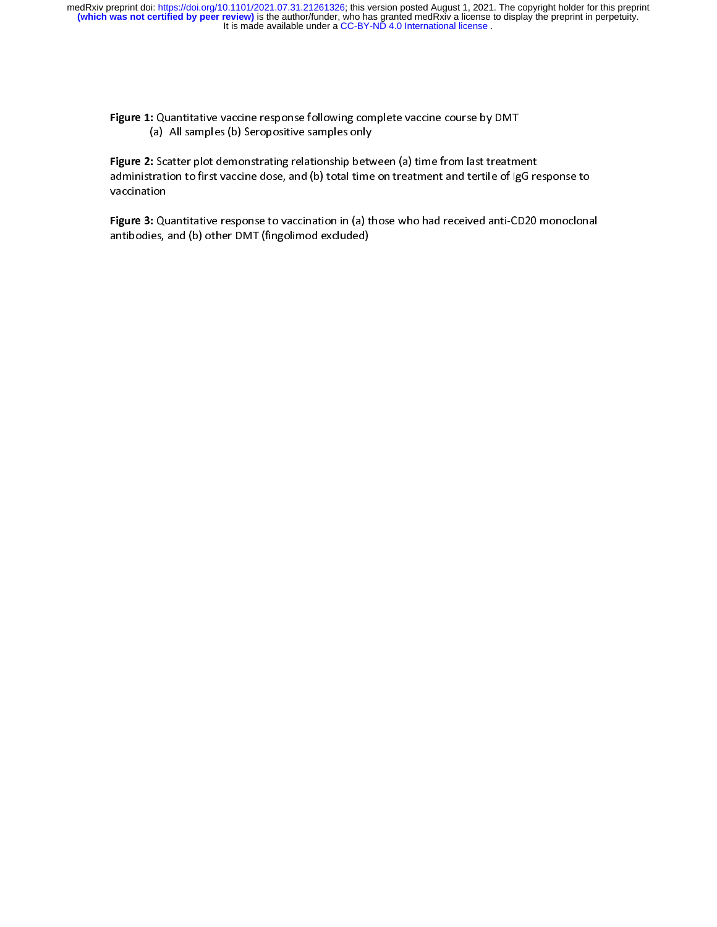$\overline{a}$ Figure 1: Quantitative vaccine response following complete vaccine course by DMT (a) All samples (b) Seropositive samples only

Figure 2: Scatter plot demonstrating relationship between (a) time from last treatment Figure 2: Scatter plot demonstrating relationship between (a) time from last treatment administration to first vaccine dose, and (b) total time on treatment and tertile of IgG response to vaccination

 $\overline{a}$ Figure 3: Quantitative response to vaccination in (a) those who had received anti-CD20 monoclonal antibodies, and (b) other DMT (fingolimod excluded)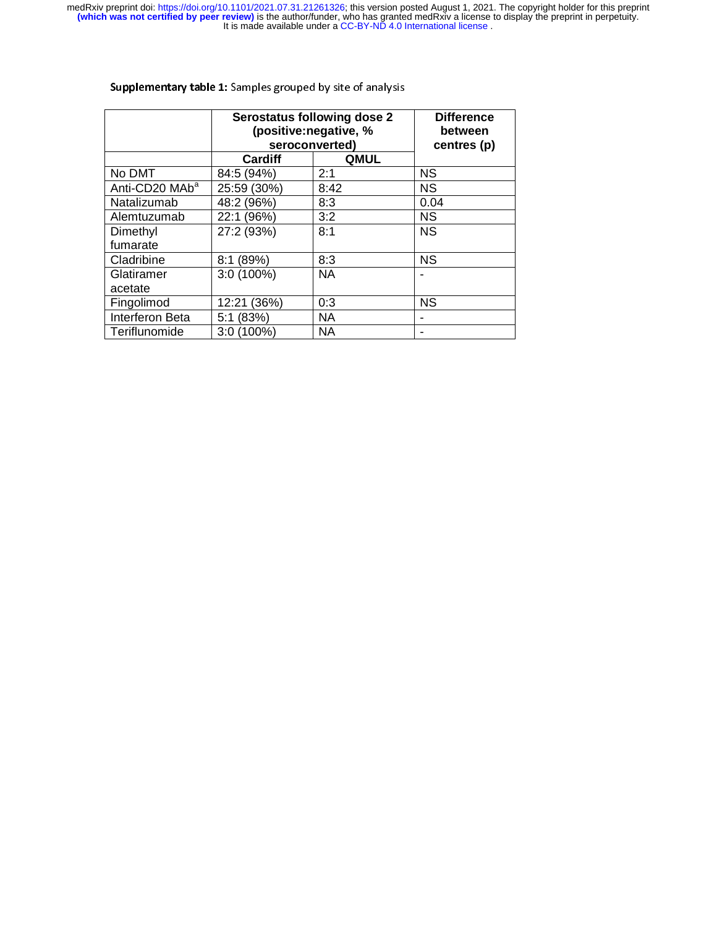|                            | Serostatus following dose 2<br>(positive:negative, %<br>seroconverted) |             | <b>Difference</b><br>between<br>centres (p) |
|----------------------------|------------------------------------------------------------------------|-------------|---------------------------------------------|
|                            | Cardiff                                                                | <b>QMUL</b> |                                             |
| No DMT                     | 84:5 (94%)                                                             | 2:1         | <b>NS</b>                                   |
| Anti-CD20 MAb <sup>a</sup> | 25:59 (30%)                                                            | 8:42        | <b>NS</b>                                   |
| Natalizumab                | 48:2 (96%)                                                             | 8:3         | 0.04                                        |
| Alemtuzumab                | 22:1 (96%)                                                             | 3:2         | <b>NS</b>                                   |
| Dimethyl                   | 27:2 (93%)                                                             | 8:1         | <b>NS</b>                                   |
| fumarate                   |                                                                        |             |                                             |
| Cladribine                 | 8:1(89%)                                                               | 8:3         | <b>NS</b>                                   |
| Glatiramer                 | $3:0(100\%)$                                                           | <b>NA</b>   |                                             |
| acetate                    |                                                                        |             |                                             |
| Fingolimod                 | 12:21 (36%)                                                            | 0:3         | <b>NS</b>                                   |
| Interferon Beta            | 5:1 (83%)                                                              | <b>NA</b>   |                                             |
| Teriflunomide              | $3:0(100\%)$                                                           | <b>NA</b>   | -                                           |

## Supplementary table 1: Samples grouped by site of analysis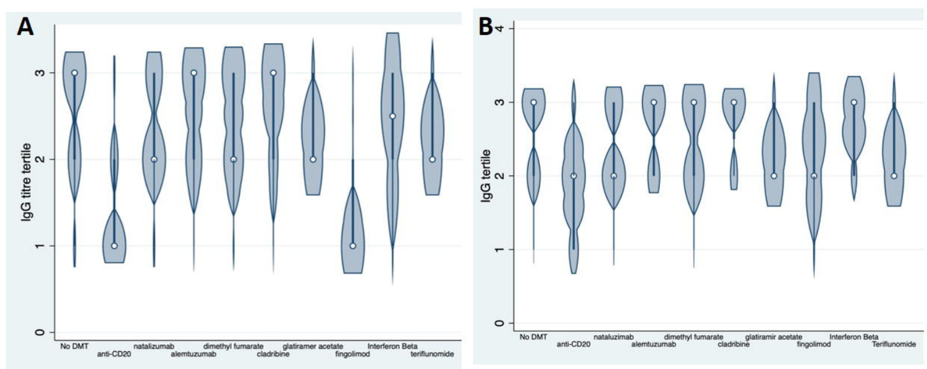

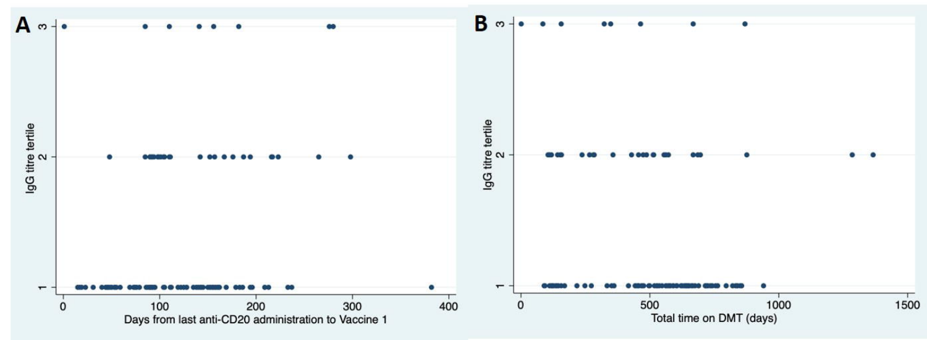